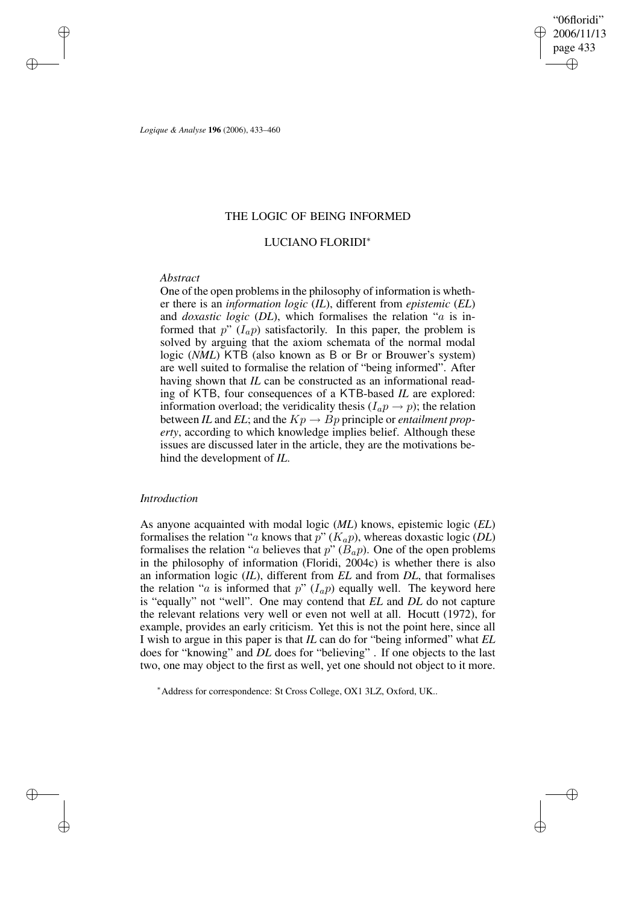✐

*Logique & Analyse* **196** (2006), 433–460

## THE LOGIC OF BEING INFORMED

## LUCIANO FLORIDI<sup>∗</sup>

## *Abstract*

✐

✐

✐

✐

One of the open problems in the philosophy of information is whether there is an *information logic* (*IL*), different from *epistemic* (*EL*) and *doxastic logic* (*DL*), which formalises the relation "a is informed that  $p''(I_a p)$  satisfactorily. In this paper, the problem is solved by arguing that the axiom schemata of the normal modal logic (*NML*) KTB (also known as B or Br or Brouwer's system) are well suited to formalise the relation of "being informed". After having shown that *IL* can be constructed as an informational reading of KTB, four consequences of a KTB-based *IL* are explored: information overload; the veridicality thesis  $(I_a p \rightarrow p)$ ; the relation between *IL* and *EL*; and the  $Kp \to Bp$  principle or *entailment* prop*erty*, according to which knowledge implies belief. Although these issues are discussed later in the article, they are the motivations behind the development of *IL*.

### *Introduction*

As anyone acquainted with modal logic (*ML*) knows, epistemic logic (*EL*) formalises the relation "*a* knows that  $p$ " ( $K_a p$ ), whereas doxastic logic (*DL*) formalises the relation "a believes that  $p$ " ( $B_a p$ ). One of the open problems in the philosophy of information (Floridi, 2004c) is whether there is also an information logic (*IL*), different from *EL* and from *DL*, that formalises the relation "a is informed that  $p$ " ( $I_a p$ ) equally well. The keyword here is "equally" not "well". One may contend that *EL* and *DL* do not capture the relevant relations very well or even not well at all. Hocutt (1972), for example, provides an early criticism. Yet this is not the point here, since all I wish to argue in this paper is that *IL* can do for "being informed" what *EL* does for "knowing" and *DL* does for "believing" . If one objects to the last two, one may object to the first as well, yet one should not object to it more.

<sup>∗</sup>Address for correspondence: St Cross College, OX1 3LZ, Oxford, UK..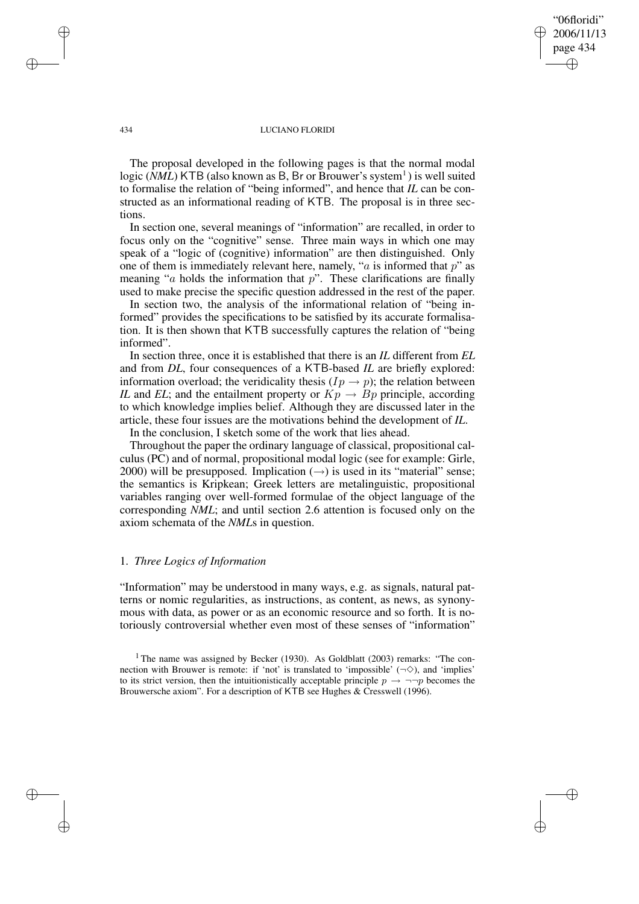# "06floridi" 2006/11/13 page 434 ✐ ✐

✐

✐

### 434 LUCIANO FLORIDI

The proposal developed in the following pages is that the normal modal logic (*NML*) KTB (also known as B, Br or Brouwer's system<sup>1</sup>) is well suited to formalise the relation of "being informed", and hence that *IL* can be constructed as an informational reading of KTB. The proposal is in three sections.

In section one, several meanings of "information" are recalled, in order to focus only on the "cognitive" sense. Three main ways in which one may speak of a "logic of (cognitive) information" are then distinguished. Only one of them is immediately relevant here, namely, " $a$  is informed that  $p$ " as meaning "a holds the information that  $p$ ". These clarifications are finally used to make precise the specific question addressed in the rest of the paper.

In section two, the analysis of the informational relation of "being informed" provides the specifications to be satisfied by its accurate formalisation. It is then shown that KTB successfully captures the relation of "being informed".

In section three, once it is established that there is an *IL* different from *EL* and from *DL*, four consequences of a KTB-based *IL* are briefly explored: information overload; the veridicality thesis  $(Ip \rightarrow p)$ ; the relation between *IL* and *EL*; and the entailment property or  $Kp \rightarrow Bp$  principle, according to which knowledge implies belief. Although they are discussed later in the article, these four issues are the motivations behind the development of *IL*.

In the conclusion, I sketch some of the work that lies ahead.

Throughout the paper the ordinary language of classical, propositional calculus (PC) and of normal, propositional modal logic (see for example: Girle, 2000) will be presupposed. Implication  $(\rightarrow)$  is used in its "material" sense; the semantics is Kripkean; Greek letters are metalinguistic, propositional variables ranging over well-formed formulae of the object language of the corresponding *NML*; and until section 2.6 attention is focused only on the axiom schemata of the *NML*s in question.

# 1. *Three Logics of Information*

"Information" may be understood in many ways, e.g. as signals, natural patterns or nomic regularities, as instructions, as content, as news, as synonymous with data, as power or as an economic resource and so forth. It is notoriously controversial whether even most of these senses of "information"

✐

✐

✐

<sup>&</sup>lt;sup>1</sup> The name was assigned by Becker (1930). As Goldblatt (2003) remarks: "The connection with Brouwer is remote: if 'not' is translated to 'impossible'  $(\neg \Diamond)$ , and 'implies' to its strict version, then the intuitionistically acceptable principle  $p \rightarrow \neg\neg p$  becomes the Brouwersche axiom". For a description of KTB see Hughes & Cresswell (1996).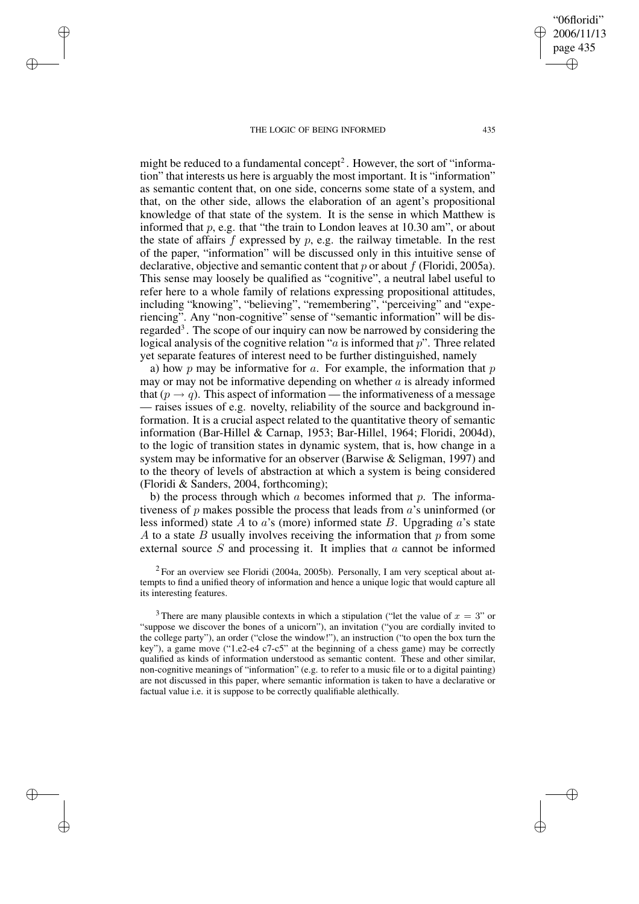✐

✐

✐

✐

might be reduced to a fundamental concept<sup>2</sup>. However, the sort of "information" that interests us here is arguably the most important. It is "information" as semantic content that, on one side, concerns some state of a system, and that, on the other side, allows the elaboration of an agent's propositional knowledge of that state of the system. It is the sense in which Matthew is informed that  $p$ , e.g. that "the train to London leaves at 10.30 am", or about the state of affairs  $f$  expressed by  $p$ , e.g. the railway timetable. In the rest of the paper, "information" will be discussed only in this intuitive sense of declarative, objective and semantic content that  $p$  or about  $f$  (Floridi, 2005a). This sense may loosely be qualified as "cognitive", a neutral label useful to refer here to a whole family of relations expressing propositional attitudes, including "knowing", "believing", "remembering", "perceiving" and "experiencing". Any "non-cognitive" sense of "semantic information" will be disregarded<sup>3</sup>. The scope of our inquiry can now be narrowed by considering the logical analysis of the cognitive relation " $a$  is informed that  $p$ ". Three related yet separate features of interest need to be further distinguished, namely

a) how  $p$  may be informative for  $a$ . For example, the information that  $p$ may or may not be informative depending on whether  $a$  is already informed that  $(p \to q)$ . This aspect of information — the informativeness of a message — raises issues of e.g. novelty, reliability of the source and background information. It is a crucial aspect related to the quantitative theory of semantic information (Bar-Hillel & Carnap, 1953; Bar-Hillel, 1964; Floridi, 2004d), to the logic of transition states in dynamic system, that is, how change in a system may be informative for an observer (Barwise & Seligman, 1997) and to the theory of levels of abstraction at which a system is being considered (Floridi & Sanders, 2004, forthcoming);

b) the process through which  $\alpha$  becomes informed that  $p$ . The informativeness of  $p$  makes possible the process that leads from  $a$ 's uninformed (or less informed) state A to  $a$ 's (more) informed state B. Upgrading  $a$ 's state A to a state B usually involves receiving the information that  $p$  from some external source  $S$  and processing it. It implies that  $\alpha$  cannot be informed

 $2$  For an overview see Floridi (2004a, 2005b). Personally, I am very sceptical about attempts to find a unified theory of information and hence a unique logic that would capture all its interesting features.

<sup>3</sup> There are many plausible contexts in which a stipulation ("let the value of  $x = 3$ " or "suppose we discover the bones of a unicorn"), an invitation ("you are cordially invited to the college party"), an order ("close the window!"), an instruction ("to open the box turn the key"), a game move ("1.e2-e4 c7-c5" at the beginning of a chess game) may be correctly qualified as kinds of information understood as semantic content. These and other similar, non-cognitive meanings of "information" (e.g. to refer to a music file or to a digital painting) are not discussed in this paper, where semantic information is taken to have a declarative or factual value i.e. it is suppose to be correctly qualifiable alethically.

"06floridi" 2006/11/13 page 435

✐

✐

✐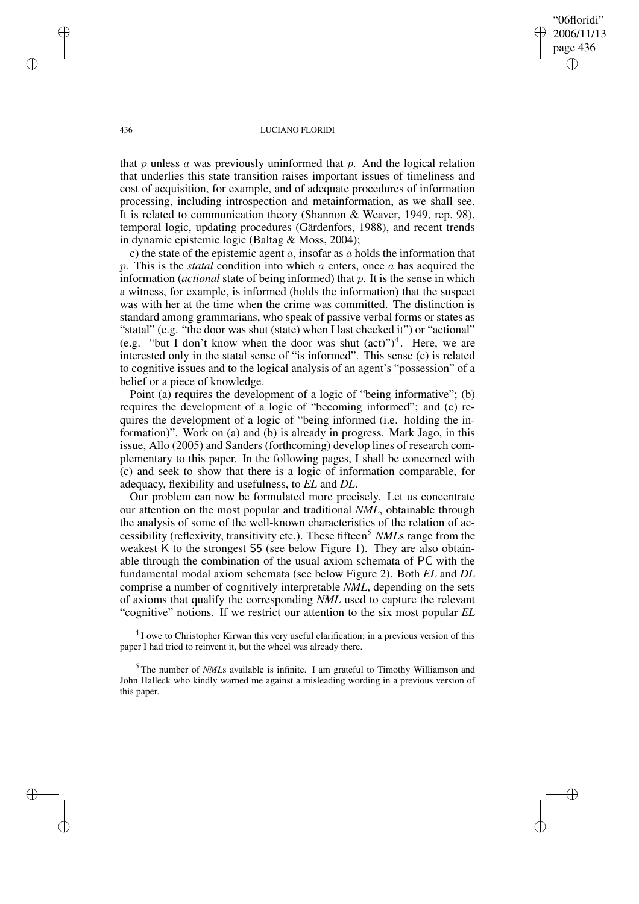"06floridi" 2006/11/13 page 436 ✐ ✐

✐

✐

### 436 LUCIANO FLORIDI

that p unless a was previously uninformed that p. And the logical relation that underlies this state transition raises important issues of timeliness and cost of acquisition, for example, and of adequate procedures of information processing, including introspection and metainformation, as we shall see. It is related to communication theory (Shannon & Weaver, 1949, rep. 98), temporal logic, updating procedures (Gärdenfors, 1988), and recent trends in dynamic epistemic logic (Baltag & Moss, 2004);

c) the state of the epistemic agent  $a$ , insofar as  $a$  holds the information that p. This is the *statal* condition into which a enters, once a has acquired the information (*actional* state of being informed) that p. It is the sense in which a witness, for example, is informed (holds the information) that the suspect was with her at the time when the crime was committed. The distinction is standard among grammarians, who speak of passive verbal forms or states as "statal" (e.g. "the door was shut (state) when I last checked it") or "actional" (e.g. "but I don't know when the door was shut  $(act)$ ")<sup>4</sup>. Here, we are interested only in the statal sense of "is informed". This sense (c) is related to cognitive issues and to the logical analysis of an agent's "possession" of a belief or a piece of knowledge.

Point (a) requires the development of a logic of "being informative"; (b) requires the development of a logic of "becoming informed"; and (c) requires the development of a logic of "being informed (i.e. holding the information)". Work on (a) and (b) is already in progress. Mark Jago, in this issue, Allo (2005) and Sanders (forthcoming) develop lines of research complementary to this paper. In the following pages, I shall be concerned with (c) and seek to show that there is a logic of information comparable, for adequacy, flexibility and usefulness, to *EL* and *DL*.

Our problem can now be formulated more precisely. Let us concentrate our attention on the most popular and traditional *NML*, obtainable through the analysis of some of the well-known characteristics of the relation of accessibility (reflexivity, transitivity etc.). These fifteen<sup>5</sup> *NMLs* range from the weakest K to the strongest S5 (see below Figure 1). They are also obtainable through the combination of the usual axiom schemata of PC with the fundamental modal axiom schemata (see below Figure 2). Both *EL* and *DL* comprise a number of cognitively interpretable *NML*, depending on the sets of axioms that qualify the corresponding *NML* used to capture the relevant "cognitive" notions. If we restrict our attention to the six most popular *EL*

<sup>4</sup> I owe to Christopher Kirwan this very useful clarification; in a previous version of this paper I had tried to reinvent it, but the wheel was already there.

<sup>5</sup> The number of *NML*s available is infinite. I am grateful to Timothy Williamson and John Halleck who kindly warned me against a misleading wording in a previous version of this paper.

✐

✐

✐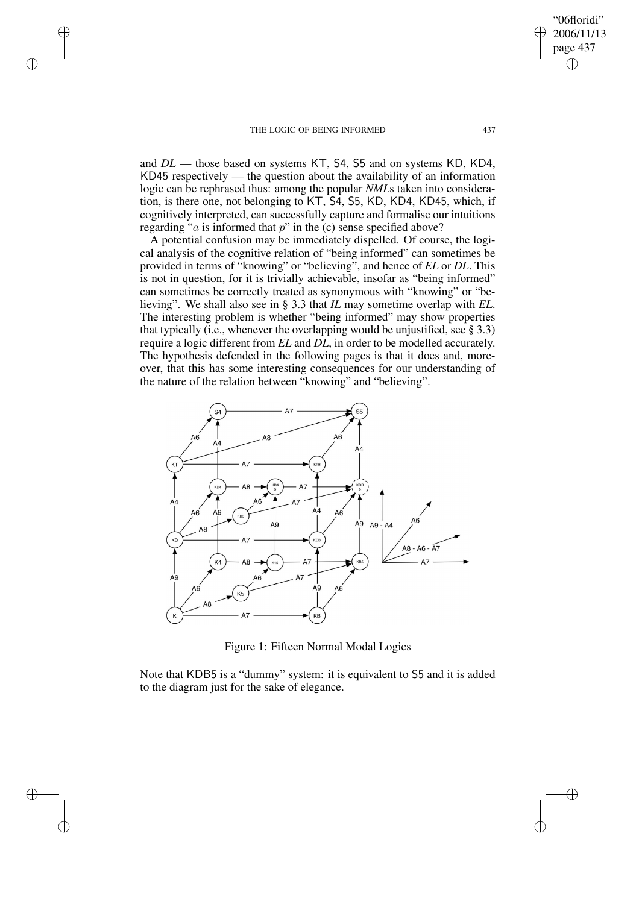✐

✐

✐

✐

and *DL* — those based on systems KT, S4, S5 and on systems KD, KD4, KD45 respectively — the question about the availability of an information logic can be rephrased thus: among the popular *NML*s taken into consideration, is there one, not belonging to KT, S4, S5, KD, KD4, KD45, which, if cognitively interpreted, can successfully capture and formalise our intuitions regarding " $a$  is informed that  $p$ " in the (c) sense specified above?

A potential confusion may be immediately dispelled. Of course, the logical analysis of the cognitive relation of "being informed" can sometimes be provided in terms of "knowing" or "believing", and hence of *EL* or *DL*. This is not in question, for it is trivially achievable, insofar as "being informed" can sometimes be correctly treated as synonymous with "knowing" or "believing". We shall also see in § 3.3 that *IL* may sometime overlap with *EL*. The interesting problem is whether "being informed" may show properties that typically (i.e., whenever the overlapping would be unjustified, see  $\S 3.3$ ) require a logic different from *EL* and *DL*, in order to be modelled accurately. The hypothesis defended in the following pages is that it does and, moreover, that this has some interesting consequences for our understanding of the nature of the relation between "knowing" and "believing".



Figure 1: Fifteen Normal Modal Logics

Note that KDB5 is a "dummy" system: it is equivalent to S5 and it is added to the diagram just for the sake of elegance.

"06floridi" 2006/11/13 page 437

 $\oplus$ 

✐

✐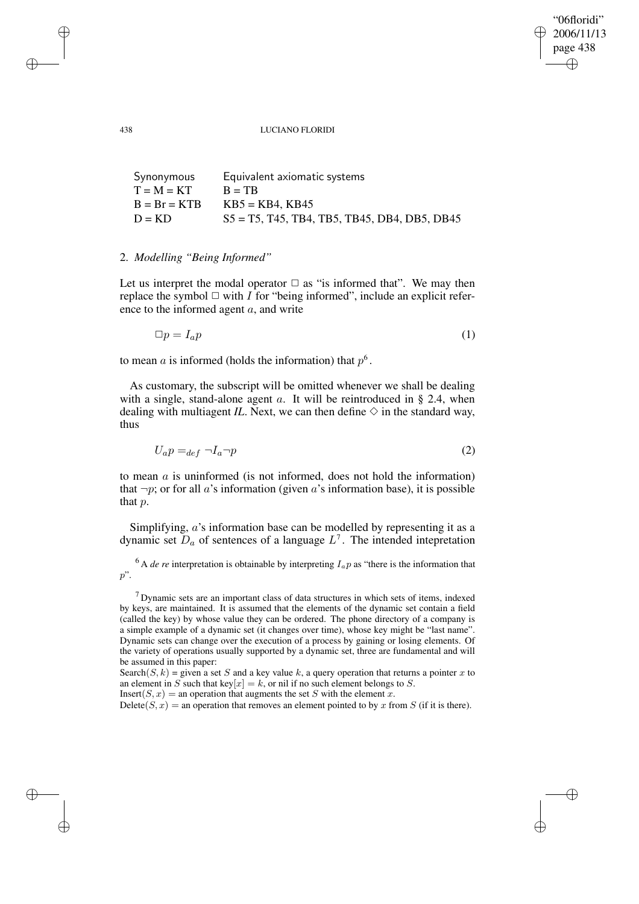#### 438 LUCIANO FLORIDI

"06floridi" 2006/11/13 page 438

✐

✐

✐

✐

| Synonymous     | Equivalent axiomatic systems                    |
|----------------|-------------------------------------------------|
| $T = M = KT$   | $B = TR$                                        |
| $B = Br = KTB$ | $KB5 = KB4$ , $KB45$                            |
| $D = KD$       | $S5 = T5$ , T45, TB4, TB5, TB45, DB4, DB5, DB45 |

### 2. *Modelling "Being Informed"*

Let us interpret the modal operator  $\Box$  as "is informed that". We may then replace the symbol  $\Box$  with I for "being informed", include an explicit reference to the informed agent a, and write

 $\Box p = I_a p \tag{1}$ 

to mean a is informed (holds the information) that  $p^6$ .

As customary, the subscript will be omitted whenever we shall be dealing with a single, stand-alone agent  $a$ . It will be reintroduced in § 2.4, when dealing with multiagent *IL*. Next, we can then define  $\diamond$  in the standard way, thus

$$
U_a p =_{def} \neg I_a \neg p \tag{2}
$$

to mean  $a$  is uninformed (is not informed, does not hold the information) that  $\neg p$ ; or for all a's information (given a's information base), it is possible that p.

Simplifying, a's information base can be modelled by representing it as a dynamic set  $D_a$  of sentences of a language  $L^7$ . The intended intepretation

 $6$  A *de re* interpretation is obtainable by interpreting  $I_a p$  as "there is the information that  $p$ ".

 $7$  Dynamic sets are an important class of data structures in which sets of items, indexed by keys, are maintained. It is assumed that the elements of the dynamic set contain a field (called the key) by whose value they can be ordered. The phone directory of a company is a simple example of a dynamic set (it changes over time), whose key might be "last name". Dynamic sets can change over the execution of a process by gaining or losing elements. Of the variety of operations usually supported by a dynamic set, three are fundamental and will be assumed in this paper:

Search(S, k) = given a set S and a key value k, a query operation that returns a pointer x to an element in S such that key[x] = k, or nil if no such element belongs to S.

Insert( $S, x$ ) = an operation that augments the set S with the element x.

Delete(S, x) = an operation that removes an element pointed to by x from S (if it is there).

✐

✐

✐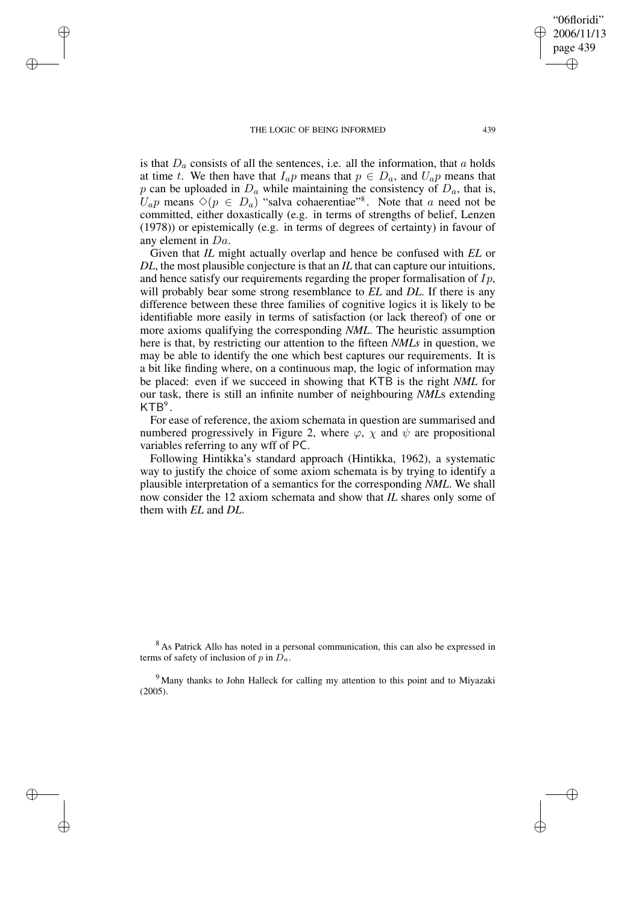✐

✐

✐

✐

is that  $D_a$  consists of all the sentences, i.e. all the information, that a holds at time t. We then have that  $I_a p$  means that  $p \in D_a$ , and  $U_a p$  means that p can be uploaded in  $D_a$  while maintaining the consistency of  $D_a$ , that is,  $U_a p$  means  $\Diamond (p \in D_a)$  "salva cohaerentiae"<sup>8</sup>. Note that a need not be committed, either doxastically (e.g. in terms of strengths of belief, Lenzen (1978)) or epistemically (e.g. in terms of degrees of certainty) in favour of any element in Da.

Given that *IL* might actually overlap and hence be confused with *EL* or *DL*, the most plausible conjecture is that an *IL* that can capture our intuitions, and hence satisfy our requirements regarding the proper formalisation of  $I_p$ , will probably bear some strong resemblance to *EL* and *DL*. If there is any difference between these three families of cognitive logics it is likely to be identifiable more easily in terms of satisfaction (or lack thereof) of one or more axioms qualifying the corresponding *NML*. The heuristic assumption here is that, by restricting our attention to the fifteen *NMLs* in question, we may be able to identify the one which best captures our requirements. It is a bit like finding where, on a continuous map, the logic of information may be placed: even if we succeed in showing that KTB is the right *NML* for our task, there is still an infinite number of neighbouring *NML*s extending  $\mathsf{KTB}^9$  .

For ease of reference, the axiom schemata in question are summarised and numbered progressively in Figure 2, where  $\varphi$ ,  $\chi$  and  $\psi$  are propositional variables referring to any wff of PC.

Following Hintikka's standard approach (Hintikka, 1962), a systematic way to justify the choice of some axiom schemata is by trying to identify a plausible interpretation of a semantics for the corresponding *NML*. We shall now consider the 12 axiom schemata and show that *IL* shares only some of them with *EL* and *DL*.

<sup>8</sup> As Patrick Allo has noted in a personal communication, this can also be expressed in terms of safety of inclusion of p in  $\overline{D}_a$ .

<sup>9</sup> Many thanks to John Halleck for calling my attention to this point and to Miyazaki (2005).

"06floridi" 2006/11/13 page 439

✐

✐

✐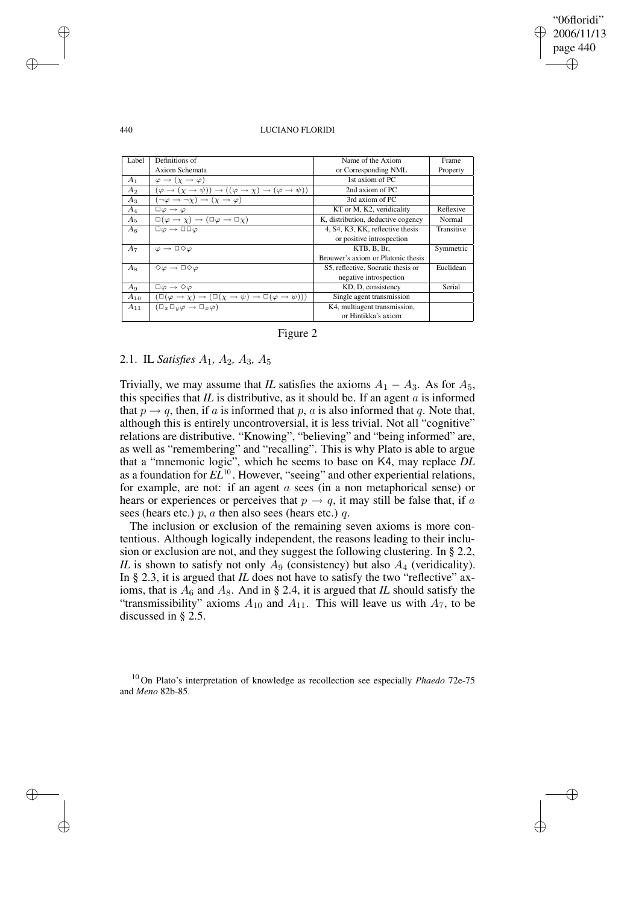✐

### 440 LUCIANO FLORIDI

| Label          | Definitions of<br>Name of the Axiom                                                        |                                    | Frame      |
|----------------|--------------------------------------------------------------------------------------------|------------------------------------|------------|
|                | Axiom Schemata                                                                             | or Corresponding NML               | Property   |
| A <sub>1</sub> | $\varphi \rightarrow (\chi \rightarrow \varphi)$                                           | 1st axiom of PC                    |            |
| A <sub>2</sub> | $(\varphi \to (\chi \to \psi)) \to ((\overline{\varphi \to \chi}) \to (\varphi \to \psi))$ | 2nd axiom of PC                    |            |
| $A_3$          | $(\neg \varphi \rightarrow \neg \chi) \rightarrow (\chi \rightarrow \varphi)$              | 3rd axiom of PC                    |            |
| $A_4$          | $\Box \varphi \rightarrow \varphi$                                                         | KT or M, K2, veridicality          | Reflexive  |
| $A_5$          | $\Box(\varphi \to \chi) \to (\Box \varphi \to \Box \chi)$                                  | K, distribution, deductive cogency | Normal     |
| $A_6$          | $\square \varphi \rightarrow \square \square \varphi$                                      | 4, S4, K3, KK, reflective thesis   | Transitive |
|                |                                                                                            | or positive introspection          |            |
| $A_7$          | $\varphi \to \Box \Diamond \varphi$                                                        | KTB, B, Br,                        | Symmetric  |
|                |                                                                                            | Brouwer's axiom or Platonic thesis |            |
| $A_8$          | $\Diamond\varphi\rightarrow\Box\Diamond\varphi$                                            | S5, reflective, Socratic thesis or | Euclidean  |
|                |                                                                                            | negative introspection             |            |
| $A_{9}$        | $\Box \varphi \rightarrow \Diamond \varphi$                                                | KD, D, consistency                 | Serial     |
| $A_{10}$       | $(\Box(\varphi \to \chi) \to (\Box(\chi \to \psi) \to \Box(\varphi \to \psi)))$            | Single agent transmission          |            |
| $A_{11}$       | $(\Box_x \Box_y \varphi \rightarrow \Box_x \varphi)$                                       | K4, multiagent transmission,       |            |
|                |                                                                                            | or Hintikka's axiom                |            |



# 2.1. IL *Satisfies* A1*,* A2*,* A3*,* A5

Trivially, we may assume that *IL* satisfies the axioms  $A_1 - A_3$ . As for  $A_5$ , this specifies that  $IL$  is distributive, as it should be. If an agent  $a$  is informed that  $p \rightarrow q$ , then, if a is informed that p, a is also informed that q. Note that, although this is entirely uncontroversial, it is less trivial. Not all "cognitive" relations are distributive. "Knowing", "believing" and "being informed" are, as well as "remembering" and "recalling". This is why Plato is able to argue that a "mnemonic logic", which he seems to base on K4, may replace *DL* as a foundation for *EL*<sup>10</sup> . However, "seeing" and other experiential relations, for example, are not: if an agent a sees (in a non metaphorical sense) or hears or experiences or perceives that  $p \rightarrow q$ , it may still be false that, if a sees (hears etc.)  $p$ ,  $a$  then also sees (hears etc.)  $q$ .

The inclusion or exclusion of the remaining seven axioms is more contentious. Although logically independent, the reasons leading to their inclusion or exclusion are not, and they suggest the following clustering. In § 2.2, *IL* is shown to satisfy not only  $A_9$  (consistency) but also  $A_4$  (veridicality). In § 2.3, it is argued that *IL* does not have to satisfy the two "reflective" axioms, that is  $A_6$  and  $A_8$ . And in § 2.4, it is argued that *IL* should satisfy the "transmissibility" axioms  $A_{10}$  and  $A_{11}$ . This will leave us with  $A_7$ , to be discussed in § 2.5.

<sup>10</sup> On Plato's interpretation of knowledge as recollection see especially *Phaedo* 72e-75 and *Meno* 82b-85.

✐

✐

✐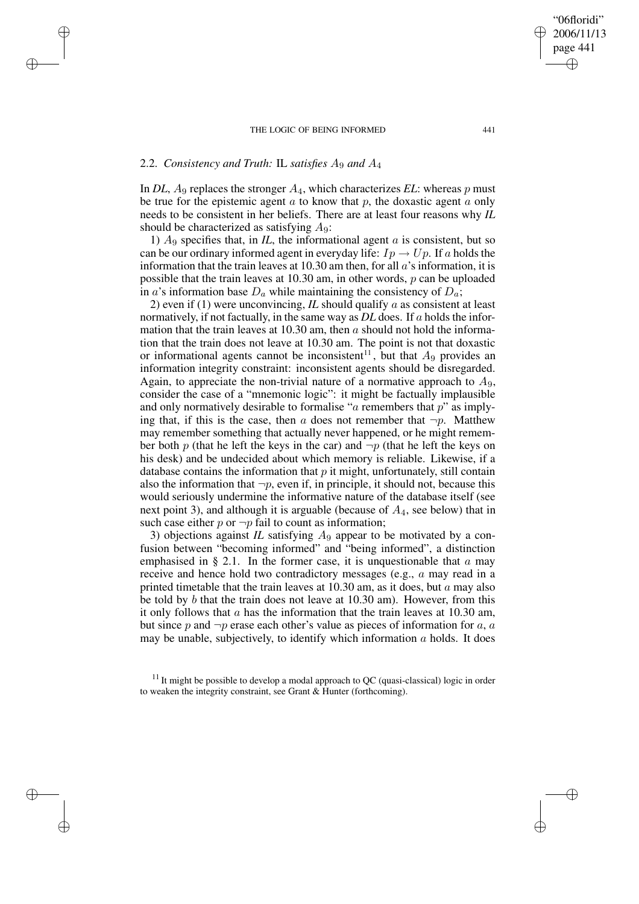# 2.2. *Consistency and Truth:* IL *satisfies* A9 *and* A4

✐

✐

✐

✐

In *DL*,  $A_9$  replaces the stronger  $A_4$ , which characterizes *EL*: whereas p must be true for the epistemic agent  $\alpha$  to know that  $p$ , the doxastic agent  $\alpha$  only needs to be consistent in her beliefs. There are at least four reasons why *IL* should be characterized as satisfying  $A_9$ :

1)  $A_9$  specifies that, in *IL*, the informational agent  $\alpha$  is consistent, but so can be our ordinary informed agent in everyday life:  $I_p \rightarrow U_p$ . If a holds the information that the train leaves at  $10.30$  am then, for all  $a$ 's information, it is possible that the train leaves at 10.30 am, in other words,  $p$  can be uploaded in a's information base  $D_a$  while maintaining the consistency of  $D_a$ ;

2) even if (1) were unconvincing, *IL* should qualify a as consistent at least normatively, if not factually, in the same way as *DL* does. If a holds the information that the train leaves at 10.30 am, then  $a$  should not hold the information that the train does not leave at 10.30 am. The point is not that doxastic or informational agents cannot be inconsistent<sup>11</sup>, but that  $A_9$  provides an information integrity constraint: inconsistent agents should be disregarded. Again, to appreciate the non-trivial nature of a normative approach to  $A_9$ , consider the case of a "mnemonic logic": it might be factually implausible and only normatively desirable to formalise " $a$  remembers that  $p$ " as implying that, if this is the case, then a does not remember that  $\neg p$ . Matthew may remember something that actually never happened, or he might remember both p (that he left the keys in the car) and  $\neg p$  (that he left the keys on his desk) and be undecided about which memory is reliable. Likewise, if a database contains the information that  $p$  it might, unfortunately, still contain also the information that  $\neg p$ , even if, in principle, it should not, because this would seriously undermine the informative nature of the database itself (see next point 3), and although it is arguable (because of  $A_4$ , see below) that in such case either p or  $\neg p$  fail to count as information;

3) objections against  $IL$  satisfying  $A_9$  appear to be motivated by a confusion between "becoming informed" and "being informed", a distinction emphasised in  $\S$  2.1. In the former case, it is unquestionable that a may receive and hence hold two contradictory messages (e.g., a may read in a printed timetable that the train leaves at  $10.30$  am, as it does, but a may also be told by b that the train does not leave at 10.30 am). However, from this it only follows that  $\alpha$  has the information that the train leaves at 10.30 am, but since p and  $\neg p$  erase each other's value as pieces of information for a, a may be unable, subjectively, to identify which information  $a$  holds. It does

"06floridi" 2006/11/13 page 441

✐

✐

✐

 $11$  It might be possible to develop a modal approach to QC (quasi-classical) logic in order to weaken the integrity constraint, see Grant & Hunter (forthcoming).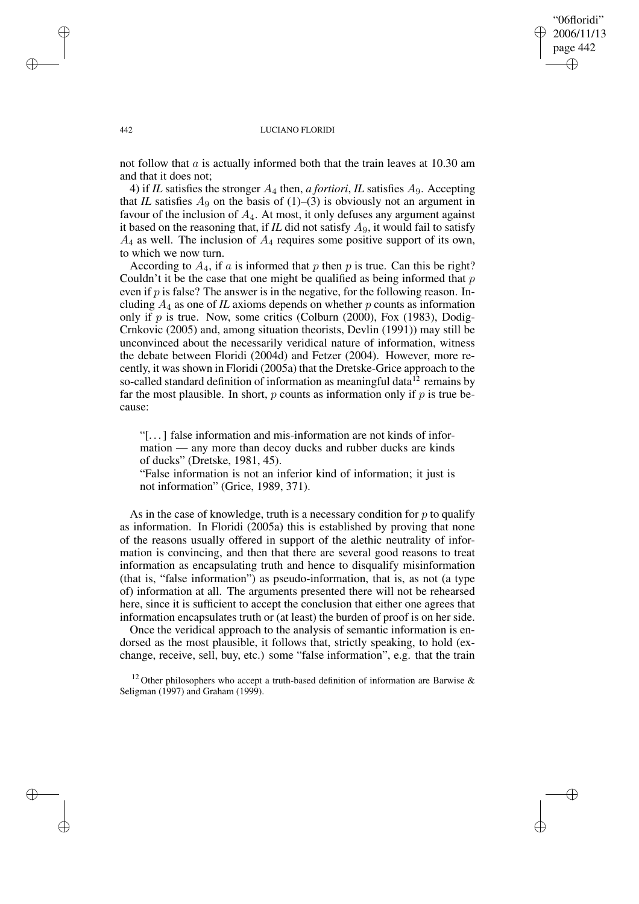"06floridi" 2006/11/13 page 442 ✐ ✐

✐

✐

### 442 LUCIANO FLORIDI

not follow that a is actually informed both that the train leaves at  $10.30$  am and that it does not;

4) if *IL* satisfies the stronger A4 then, *a fortiori*, *IL* satisfies A9. Accepting that *IL* satisfies  $A_9$  on the basis of  $(1)$ – $(3)$  is obviously not an argument in favour of the inclusion of  $A_4$ . At most, it only defuses any argument against it based on the reasoning that, if  $IL$  did not satisfy  $A_9$ , it would fail to satisfy  $A_4$  as well. The inclusion of  $A_4$  requires some positive support of its own, to which we now turn.

According to  $A_4$ , if a is informed that p then p is true. Can this be right? Couldn't it be the case that one might be qualified as being informed that  $p$ even if p is false? The answer is in the negative, for the following reason. Including  $A_4$  as one of *IL* axioms depends on whether p counts as information only if  $p$  is true. Now, some critics (Colburn (2000), Fox (1983), Dodig-Crnkovic (2005) and, among situation theorists, Devlin (1991)) may still be unconvinced about the necessarily veridical nature of information, witness the debate between Floridi (2004d) and Fetzer (2004). However, more recently, it was shown in Floridi (2005a) that the Dretske-Grice approach to the so-called standard definition of information as meaningful data<sup>12</sup> remains by far the most plausible. In short,  $p$  counts as information only if  $p$  is true because:

"[. . .] false information and mis-information are not kinds of information — any more than decoy ducks and rubber ducks are kinds of ducks" (Dretske, 1981, 45).

"False information is not an inferior kind of information; it just is not information" (Grice, 1989, 371).

As in the case of knowledge, truth is a necessary condition for  $p$  to qualify as information. In Floridi (2005a) this is established by proving that none of the reasons usually offered in support of the alethic neutrality of information is convincing, and then that there are several good reasons to treat information as encapsulating truth and hence to disqualify misinformation (that is, "false information") as pseudo-information, that is, as not (a type of) information at all. The arguments presented there will not be rehearsed here, since it is sufficient to accept the conclusion that either one agrees that information encapsulates truth or (at least) the burden of proof is on her side.

Once the veridical approach to the analysis of semantic information is endorsed as the most plausible, it follows that, strictly speaking, to hold (exchange, receive, sell, buy, etc.) some "false information", e.g. that the train

<sup>12</sup> Other philosophers who accept a truth-based definition of information are Barwise & Seligman (1997) and Graham (1999).

✐

✐

✐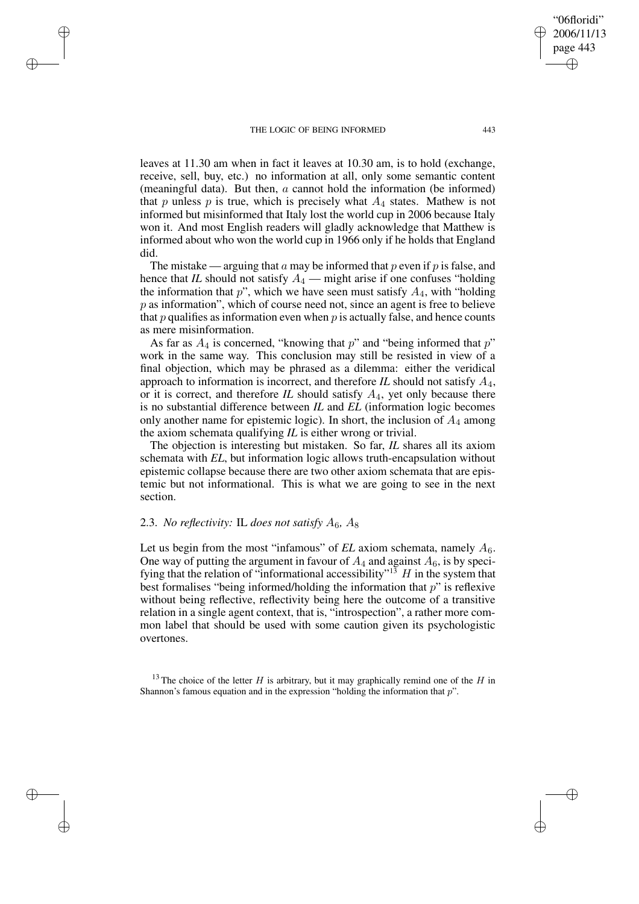✐

✐

✐

✐

2006/11/13 page 443 ✐ ✐

✐

✐

"06floridi"

leaves at 11.30 am when in fact it leaves at 10.30 am, is to hold (exchange, receive, sell, buy, etc.) no information at all, only some semantic content (meaningful data). But then, a cannot hold the information (be informed) that p unless p is true, which is precisely what  $A_4$  states. Mathew is not informed but misinformed that Italy lost the world cup in 2006 because Italy won it. And most English readers will gladly acknowledge that Matthew is informed about who won the world cup in 1966 only if he holds that England did.

The mistake — arguing that  $a$  may be informed that  $p$  even if  $p$  is false, and hence that *IL* should not satisfy  $A_4$  — might arise if one confuses "holding the information that  $p$ ", which we have seen must satisfy  $A_4$ , with "holding"  $p$  as information", which of course need not, since an agent is free to believe that  $p$  qualifies as information even when  $p$  is actually false, and hence counts as mere misinformation.

As far as  $A_4$  is concerned, "knowing that p" and "being informed that p" work in the same way. This conclusion may still be resisted in view of a final objection, which may be phrased as a dilemma: either the veridical approach to information is incorrect, and therefore *IL* should not satisfy  $A_4$ , or it is correct, and therefore *IL* should satisfy  $A_4$ , yet only because there is no substantial difference between *IL* and *EL* (information logic becomes only another name for epistemic logic). In short, the inclusion of  $A_4$  among the axiom schemata qualifying *IL* is either wrong or trivial.

The objection is interesting but mistaken. So far, *IL* shares all its axiom schemata with *EL*, but information logic allows truth-encapsulation without epistemic collapse because there are two other axiom schemata that are epistemic but not informational. This is what we are going to see in the next section.

# 2.3. *No reflectivity:* IL *does not satisfy*  $A_6$ ,  $A_8$

Let us begin from the most "infamous" of  $EL$  axiom schemata, namely  $A_6$ . One way of putting the argument in favour of  $A_4$  and against  $A_6$ , is by specifying that the relation of "informational accessibility"<sup>13</sup>  $H$  in the system that best formalises "being informed/holding the information that  $p$ " is reflexive without being reflective, reflectivity being here the outcome of a transitive relation in a single agent context, that is, "introspection", a rather more common label that should be used with some caution given its psychologistic overtones.

<sup>13</sup> The choice of the letter H is arbitrary, but it may graphically remind one of the H in Shannon's famous equation and in the expression "holding the information that  $p$ ".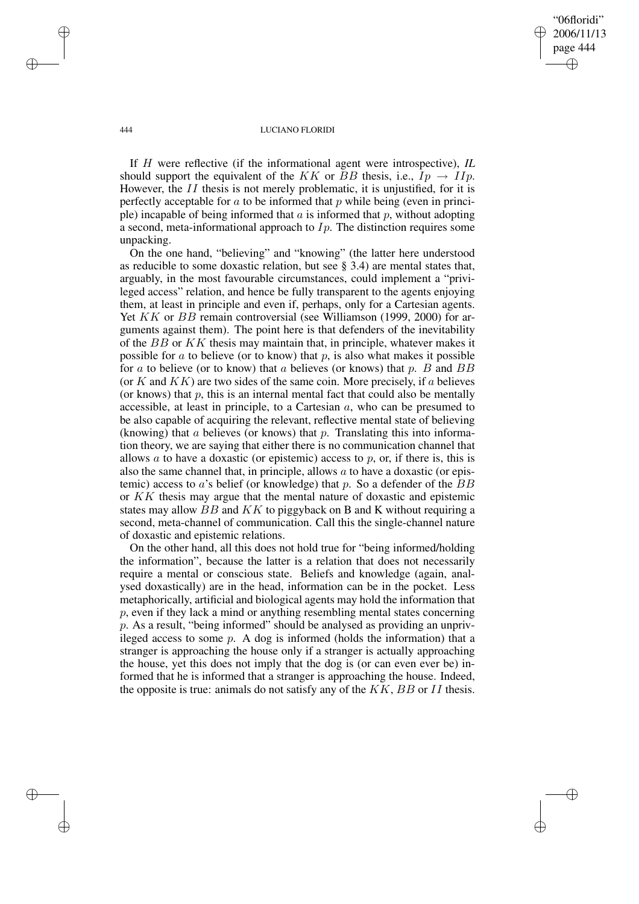"06floridi" 2006/11/13 page 444 ✐ ✐

✐

✐

### 444 LUCIANO FLORIDI

If H were reflective (if the informational agent were introspective), *IL* should support the equivalent of the KK or BB thesis, i.e.,  $I_p \rightarrow II_p$ . However, the II thesis is not merely problematic, it is unjustified, for it is perfectly acceptable for  $a$  to be informed that  $p$  while being (even in principle) incapable of being informed that  $a$  is informed that  $p$ , without adopting a second, meta-informational approach to  $Ip$ . The distinction requires some unpacking.

On the one hand, "believing" and "knowing" (the latter here understood as reducible to some doxastic relation, but see § 3.4) are mental states that, arguably, in the most favourable circumstances, could implement a "privileged access" relation, and hence be fully transparent to the agents enjoying them, at least in principle and even if, perhaps, only for a Cartesian agents. Yet KK or BB remain controversial (see Williamson (1999, 2000) for arguments against them). The point here is that defenders of the inevitability of the  $BB$  or  $KK$  thesis may maintain that, in principle, whatever makes it possible for  $a$  to believe (or to know) that  $p$ , is also what makes it possible for  $a$  to believe (or to know) that  $a$  believes (or knows) that  $p$ .  $B$  and  $BB$ (or  $K$  and  $KK$ ) are two sides of the same coin. More precisely, if a believes (or knows) that p, this is an internal mental fact that could also be mentally accessible, at least in principle, to a Cartesian  $a$ , who can be presumed to be also capable of acquiring the relevant, reflective mental state of believing (knowing) that  $\alpha$  believes (or knows) that  $p$ . Translating this into information theory, we are saying that either there is no communication channel that allows  $a$  to have a doxastic (or epistemic) access to  $p$ , or, if there is, this is also the same channel that, in principle, allows a to have a doxastic (or epistemic) access to a's belief (or knowledge) that p. So a defender of the  $BB$ or KK thesis may argue that the mental nature of doxastic and epistemic states may allow  $BB$  and  $KK$  to piggyback on B and K without requiring a second, meta-channel of communication. Call this the single-channel nature of doxastic and epistemic relations.

On the other hand, all this does not hold true for "being informed/holding the information", because the latter is a relation that does not necessarily require a mental or conscious state. Beliefs and knowledge (again, analysed doxastically) are in the head, information can be in the pocket. Less metaphorically, artificial and biological agents may hold the information that  $p$ , even if they lack a mind or anything resembling mental states concerning p. As a result, "being informed" should be analysed as providing an unprivileged access to some  $p$ . A dog is informed (holds the information) that a stranger is approaching the house only if a stranger is actually approaching the house, yet this does not imply that the dog is (or can even ever be) informed that he is informed that a stranger is approaching the house. Indeed, the opposite is true: animals do not satisfy any of the  $KK, BB$  or  $II$  thesis.

✐

✐

✐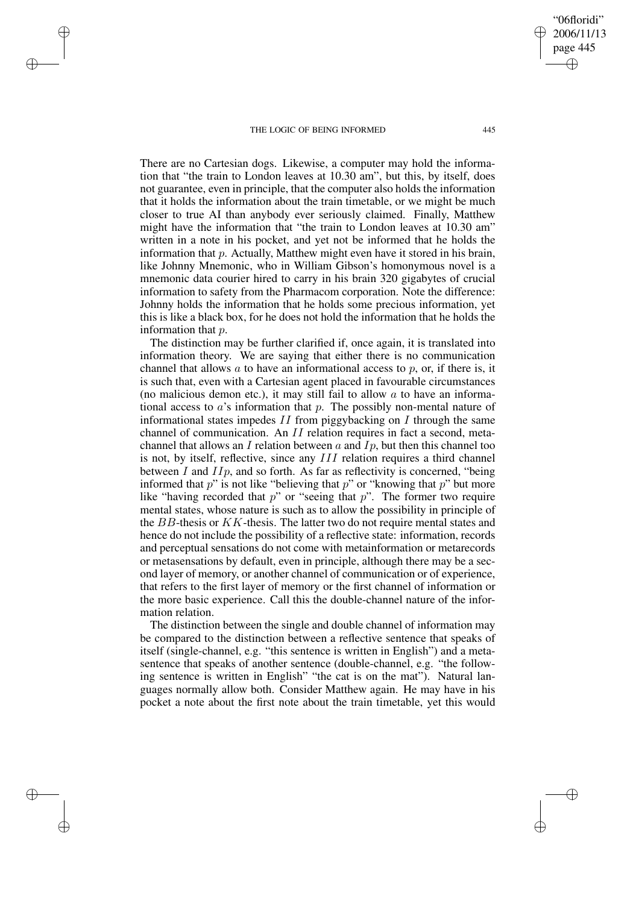✐

✐

✐

✐

2006/11/13 page 445

✐

✐

✐

"06floridi"

✐

There are no Cartesian dogs. Likewise, a computer may hold the information that "the train to London leaves at 10.30 am", but this, by itself, does not guarantee, even in principle, that the computer also holds the information that it holds the information about the train timetable, or we might be much closer to true AI than anybody ever seriously claimed. Finally, Matthew might have the information that "the train to London leaves at 10.30 am" written in a note in his pocket, and yet not be informed that he holds the information that p. Actually, Matthew might even have it stored in his brain, like Johnny Mnemonic, who in William Gibson's homonymous novel is a mnemonic data courier hired to carry in his brain 320 gigabytes of crucial information to safety from the Pharmacom corporation. Note the difference: Johnny holds the information that he holds some precious information, yet this is like a black box, for he does not hold the information that he holds the information that p.

The distinction may be further clarified if, once again, it is translated into information theory. We are saying that either there is no communication channel that allows  $a$  to have an informational access to  $p$ , or, if there is, it is such that, even with a Cartesian agent placed in favourable circumstances (no malicious demon etc.), it may still fail to allow  $\alpha$  to have an informational access to  $a$ 's information that  $p$ . The possibly non-mental nature of informational states impedes  $II$  from piggybacking on  $I$  through the same channel of communication. An II relation requires in fact a second, metachannel that allows an I relation between a and  $I_p$ , but then this channel too is not, by itself, reflective, since any III relation requires a third channel between  $I$  and  $IIp$ , and so forth. As far as reflectivity is concerned, "being informed that  $p$ " is not like "believing that  $p$ " or "knowing that  $p$ " but more like "having recorded that  $p$ " or "seeing that  $p$ ". The former two require mental states, whose nature is such as to allow the possibility in principle of the  $BB$ -thesis or  $KK$ -thesis. The latter two do not require mental states and hence do not include the possibility of a reflective state: information, records and perceptual sensations do not come with metainformation or metarecords or metasensations by default, even in principle, although there may be a second layer of memory, or another channel of communication or of experience, that refers to the first layer of memory or the first channel of information or the more basic experience. Call this the double-channel nature of the information relation.

The distinction between the single and double channel of information may be compared to the distinction between a reflective sentence that speaks of itself (single-channel, e.g. "this sentence is written in English") and a metasentence that speaks of another sentence (double-channel, e.g. "the following sentence is written in English" "the cat is on the mat"). Natural languages normally allow both. Consider Matthew again. He may have in his pocket a note about the first note about the train timetable, yet this would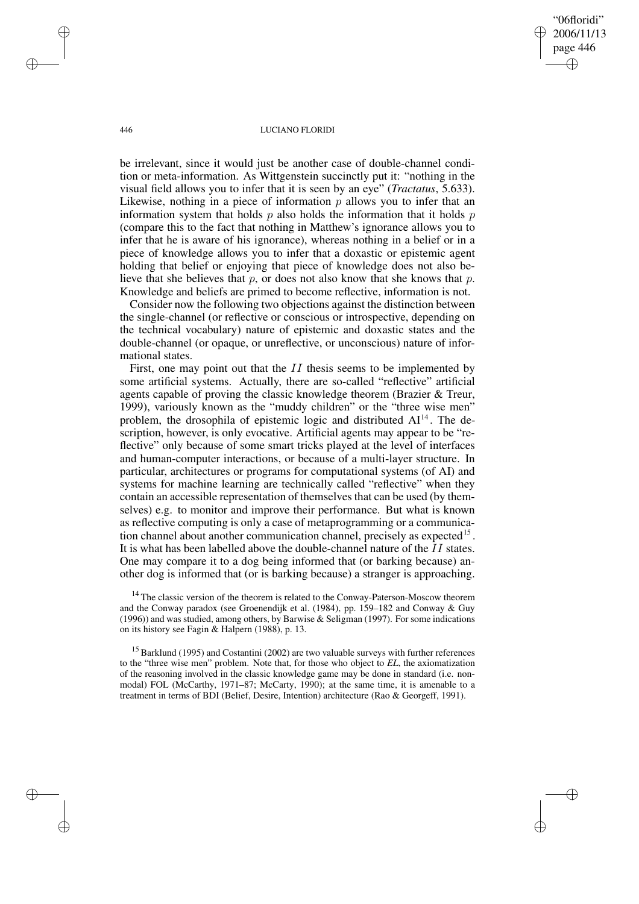"06floridi" 2006/11/13 page 446 ✐ ✐

✐

✐

### 446 LUCIANO FLORIDI

be irrelevant, since it would just be another case of double-channel condition or meta-information. As Wittgenstein succinctly put it: "nothing in the visual field allows you to infer that it is seen by an eye" (*Tractatus*, 5.633). Likewise, nothing in a piece of information  $p$  allows you to infer that an information system that holds  $p$  also holds the information that it holds  $p$ (compare this to the fact that nothing in Matthew's ignorance allows you to infer that he is aware of his ignorance), whereas nothing in a belief or in a piece of knowledge allows you to infer that a doxastic or epistemic agent holding that belief or enjoying that piece of knowledge does not also believe that she believes that  $p$ , or does not also know that she knows that  $p$ . Knowledge and beliefs are primed to become reflective, information is not.

Consider now the following two objections against the distinction between the single-channel (or reflective or conscious or introspective, depending on the technical vocabulary) nature of epistemic and doxastic states and the double-channel (or opaque, or unreflective, or unconscious) nature of informational states.

First, one may point out that the  $II$  thesis seems to be implemented by some artificial systems. Actually, there are so-called "reflective" artificial agents capable of proving the classic knowledge theorem (Brazier & Treur, 1999), variously known as the "muddy children" or the "three wise men" problem, the drosophila of epistemic logic and distributed  $AI<sup>14</sup>$ . The description, however, is only evocative. Artificial agents may appear to be "reflective" only because of some smart tricks played at the level of interfaces and human-computer interactions, or because of a multi-layer structure. In particular, architectures or programs for computational systems (of AI) and systems for machine learning are technically called "reflective" when they contain an accessible representation of themselves that can be used (by themselves) e.g. to monitor and improve their performance. But what is known as reflective computing is only a case of metaprogramming or a communication channel about another communication channel, precisely as expected<sup>15</sup>. It is what has been labelled above the double-channel nature of the II states. One may compare it to a dog being informed that (or barking because) another dog is informed that (or is barking because) a stranger is approaching.

 $14$  The classic version of the theorem is related to the Conway-Paterson-Moscow theorem and the Conway paradox (see Groenendijk et al. (1984), pp. 159–182 and Conway & Guy (1996)) and was studied, among others, by Barwise & Seligman (1997). For some indications on its history see Fagin & Halpern (1988), p. 13.

<sup>15</sup> Barklund (1995) and Costantini (2002) are two valuable surveys with further references to the "three wise men" problem. Note that, for those who object to *EL*, the axiomatization of the reasoning involved in the classic knowledge game may be done in standard (i.e. nonmodal) FOL (McCarthy, 1971–87; McCarty, 1990); at the same time, it is amenable to a treatment in terms of BDI (Belief, Desire, Intention) architecture (Rao & Georgeff, 1991).

✐

✐

✐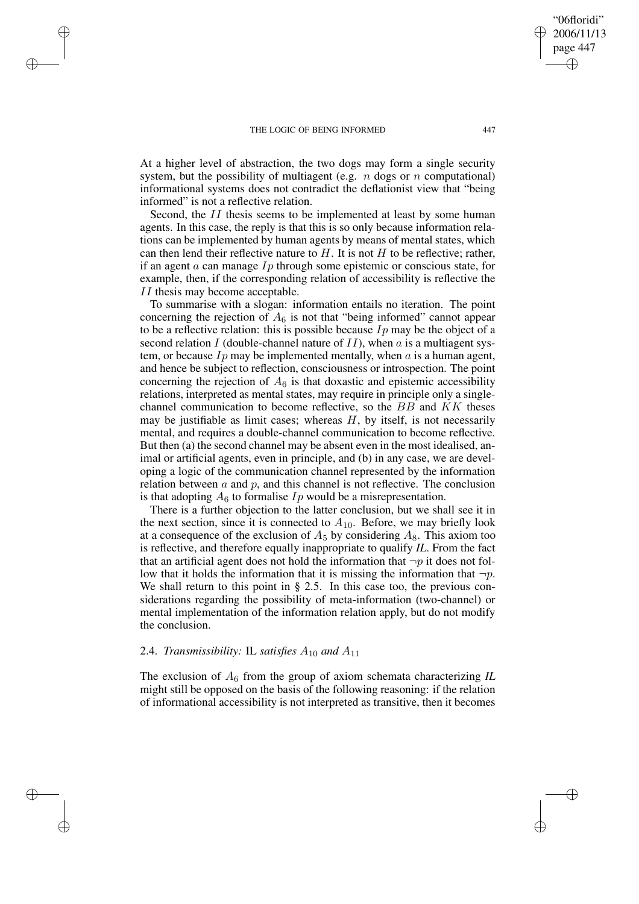✐

✐

✐

✐

At a higher level of abstraction, the two dogs may form a single security system, but the possibility of multiagent (e.g.  $n$  dogs or  $n$  computational) informational systems does not contradict the deflationist view that "being informed" is not a reflective relation.

Second, the *II* thesis seems to be implemented at least by some human agents. In this case, the reply is that this is so only because information relations can be implemented by human agents by means of mental states, which can then lend their reflective nature to  $H$ . It is not  $H$  to be reflective; rather, if an agent  $a$  can manage  $I_p$  through some epistemic or conscious state, for example, then, if the corresponding relation of accessibility is reflective the II thesis may become acceptable.

To summarise with a slogan: information entails no iteration. The point concerning the rejection of  $A_6$  is not that "being informed" cannot appear to be a reflective relation: this is possible because  $I_p$  may be the object of a second relation I (double-channel nature of  $II$ ), when a is a multiagent system, or because  $I_p$  may be implemented mentally, when  $a$  is a human agent, and hence be subject to reflection, consciousness or introspection. The point concerning the rejection of  $A_6$  is that doxastic and epistemic accessibility relations, interpreted as mental states, may require in principle only a singlechannel communication to become reflective, so the  $BB$  and  $KK$  theses may be justifiable as limit cases; whereas  $H$ , by itself, is not necessarily mental, and requires a double-channel communication to become reflective. But then (a) the second channel may be absent even in the most idealised, animal or artificial agents, even in principle, and (b) in any case, we are developing a logic of the communication channel represented by the information relation between  $\alpha$  and  $p$ , and this channel is not reflective. The conclusion is that adopting  $A_6$  to formalise  $I_p$  would be a misrepresentation.

There is a further objection to the latter conclusion, but we shall see it in the next section, since it is connected to  $A_{10}$ . Before, we may briefly look at a consequence of the exclusion of  $A_5$  by considering  $A_8$ . This axiom too is reflective, and therefore equally inappropriate to qualify *IL*. From the fact that an artificial agent does not hold the information that  $\neg p$  it does not follow that it holds the information that it is missing the information that  $\neg p$ . We shall return to this point in  $\S 2.5$ . In this case too, the previous considerations regarding the possibility of meta-information (two-channel) or mental implementation of the information relation apply, but do not modify the conclusion.

# 2.4. *Transmissibility:* IL *satisfies*  $A_{10}$  *and*  $A_{11}$

The exclusion of  $A_6$  from the group of axiom schemata characterizing *IL* might still be opposed on the basis of the following reasoning: if the relation of informational accessibility is not interpreted as transitive, then it becomes

"06floridi" 2006/11/13 page 447

✐

✐

✐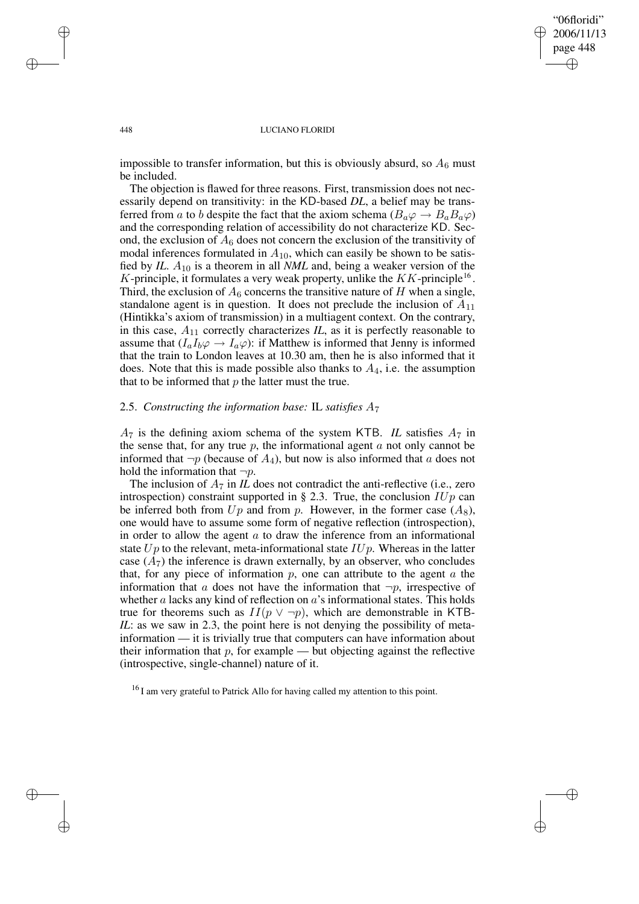✐

### 448 LUCIANO FLORIDI

impossible to transfer information, but this is obviously absurd, so  $A_6$  must be included.

The objection is flawed for three reasons. First, transmission does not necessarily depend on transitivity: in the KD-based *DL*, a belief may be transferred from a to b despite the fact that the axiom schema ( $B_a\varphi \to B_aB_a\varphi$ ) and the corresponding relation of accessibility do not characterize KD. Second, the exclusion of  $A_6$  does not concern the exclusion of the transitivity of modal inferences formulated in  $A_{10}$ , which can easily be shown to be satisfied by *IL*. A10 is a theorem in all *NML* and, being a weaker version of the K-principle, it formulates a very weak property, unlike the  $KK$ -principle<sup>16</sup>. Third, the exclusion of  $A_6$  concerns the transitive nature of H when a single, standalone agent is in question. It does not preclude the inclusion of  $A_{11}$ (Hintikka's axiom of transmission) in a multiagent context. On the contrary, in this case,  $A_{11}$  correctly characterizes  $IL$ , as it is perfectly reasonable to assume that  $(I_aI_b\varphi \to I_a\varphi)$ : if Matthew is informed that Jenny is informed that the train to London leaves at 10.30 am, then he is also informed that it does. Note that this is made possible also thanks to  $A_4$ , i.e. the assumption that to be informed that  $p$  the latter must the true.

### 2.5. *Constructing the information base:* IL *satisfies* A7

 $A_7$  is the defining axiom schema of the system KTB. *IL* satisfies  $A_7$  in the sense that, for any true  $p$ , the informational agent  $a$  not only cannot be informed that  $\neg p$  (because of  $A_4$ ), but now is also informed that a does not hold the information that  $\neg p$ .

The inclusion of  $A_7$  in *IL* does not contradict the anti-reflective (i.e., zero introspection) constraint supported in § 2.3. True, the conclusion  $IUp$  can be inferred both from  $Up$  and from p. However, in the former case  $(A_8)$ , one would have to assume some form of negative reflection (introspection), in order to allow the agent  $\alpha$  to draw the inference from an informational state  $Up$  to the relevant, meta-informational state  $IDp$ . Whereas in the latter case  $(A<sub>7</sub>)$  the inference is drawn externally, by an observer, who concludes that, for any piece of information  $p$ , one can attribute to the agent  $a$  the information that a does not have the information that  $\neg p$ , irrespective of whether  $a$  lacks any kind of reflection on  $a$ 's informational states. This holds true for theorems such as  $II(p \vee \neg p)$ , which are demonstrable in KTB-*IL*: as we saw in 2.3, the point here is not denying the possibility of metainformation — it is trivially true that computers can have information about their information that  $p$ , for example — but objecting against the reflective (introspective, single-channel) nature of it.

<sup>16</sup> I am very grateful to Patrick Allo for having called my attention to this point.

✐

✐

✐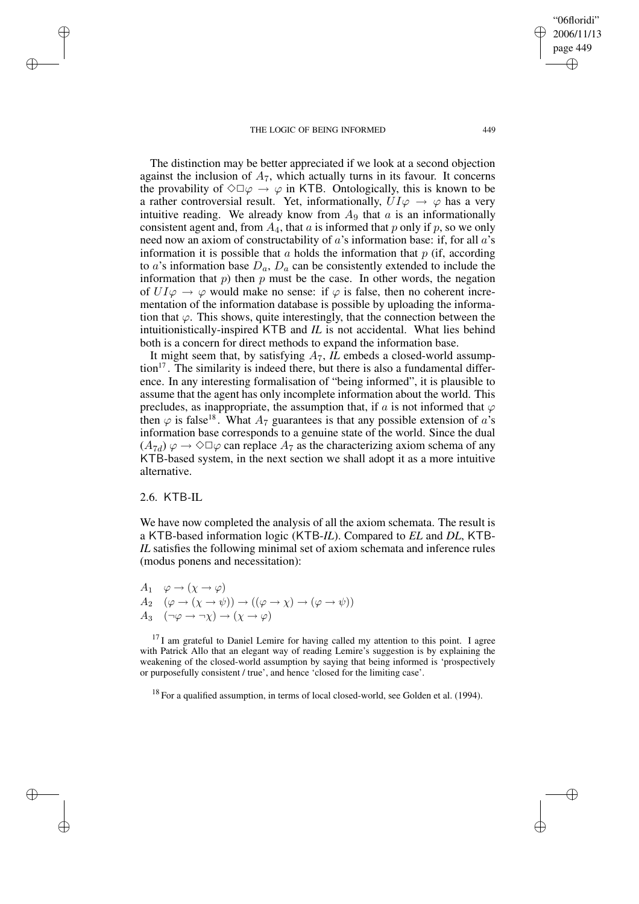2006/11/13 page 449 ✐ ✐

"06floridi"

✐

✐

The distinction may be better appreciated if we look at a second objection against the inclusion of  $A<sub>7</sub>$ , which actually turns in its favour. It concerns the provability of  $\Diamond \Box \varphi \rightarrow \varphi$  in KTB. Ontologically, this is known to be a rather controversial result. Yet, informationally,  $UI\varphi \rightarrow \varphi$  has a very intuitive reading. We already know from  $A_9$  that  $\alpha$  is an informationally consistent agent and, from  $A_4$ , that a is informed that p only if p, so we only need now an axiom of constructability of  $a$ 's information base: if, for all  $a$ 's information it is possible that  $\alpha$  holds the information that  $p$  (if, according to a's information base  $D_a$ ,  $D_a$  can be consistently extended to include the information that  $p$ ) then  $p$  must be the case. In other words, the negation of  $UI\varphi \rightarrow \varphi$  would make no sense: if  $\varphi$  is false, then no coherent incrementation of the information database is possible by uploading the information that  $\varphi$ . This shows, quite interestingly, that the connection between the intuitionistically-inspired KTB and *IL* is not accidental. What lies behind both is a concern for direct methods to expand the information base.

It might seem that, by satisfying A7, *IL* embeds a closed-world assumption<sup>17</sup>. The similarity is indeed there, but there is also a fundamental difference. In any interesting formalisation of "being informed", it is plausible to assume that the agent has only incomplete information about the world. This precludes, as inappropriate, the assumption that, if a is not informed that  $\varphi$ then  $\varphi$  is false<sup>18</sup>. What  $A_7$  guarantees is that any possible extension of a's information base corresponds to a genuine state of the world. Since the dual  $(A_{7d})$   $\varphi \rightarrow \Diamond \Box \varphi$  can replace  $A_7$  as the characterizing axiom schema of any KTB-based system, in the next section we shall adopt it as a more intuitive alternative.

# 2.6. KTB*-*IL

✐

✐

✐

✐

We have now completed the analysis of all the axiom schemata. The result is a KTB-based information logic (KTB-*IL*). Compared to *EL* and *DL*, KTB-*IL* satisfies the following minimal set of axiom schemata and inference rules (modus ponens and necessitation):

 $A_1 \quad \varphi \rightarrow (\chi \rightarrow \varphi)$  $A_2$   $(\varphi \to (\chi \to \psi)) \to ((\varphi \to \chi) \to (\varphi \to \psi))$  $A_3$   $(\neg \varphi \rightarrow \neg \chi) \rightarrow (\chi \rightarrow \varphi)$ 

 $17$  I am grateful to Daniel Lemire for having called my attention to this point. I agree with Patrick Allo that an elegant way of reading Lemire's suggestion is by explaining the weakening of the closed-world assumption by saying that being informed is 'prospectively or purposefully consistent / true', and hence 'closed for the limiting case'.

<sup>18</sup> For a qualified assumption, in terms of local closed-world, see Golden et al. (1994).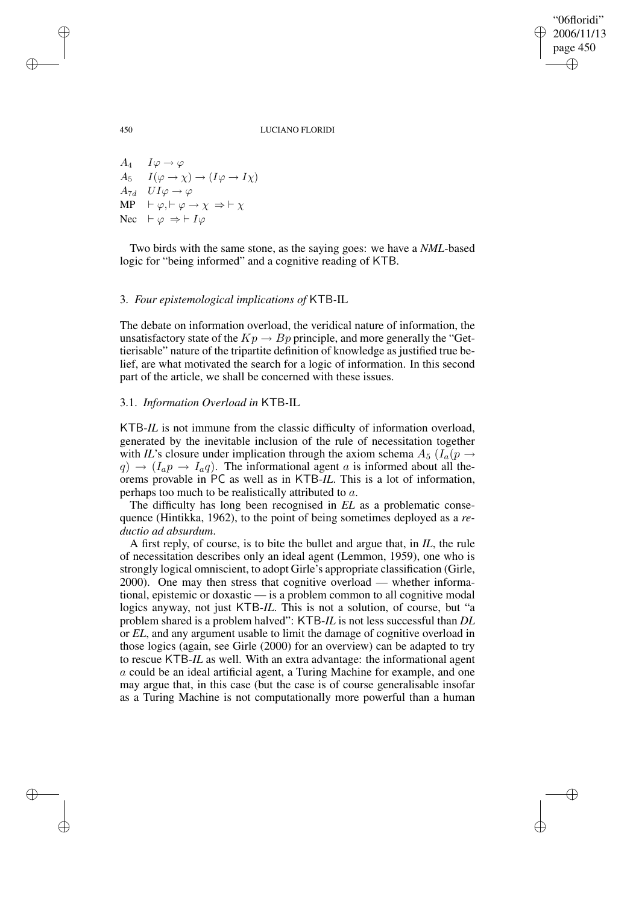"06floridi" 2006/11/13 page 450 ✐ ✐

✐

✐

450 LUCIANO FLORIDI

 $A_4$   $I\varphi \rightarrow \varphi$  $A_5$   $I(\varphi \to \chi) \to (I\varphi \to I\chi)$  $A_{7d}$   $UI\varphi \rightarrow \varphi$  $MP \vdash \varphi, \vdash \varphi \rightarrow \chi \Rightarrow \vdash \chi$ Nec  $\vdash \varphi \Rightarrow \vdash I\varphi$ 

Two birds with the same stone, as the saying goes: we have a *NML*-based logic for "being informed" and a cognitive reading of KTB.

# 3. *Four epistemological implications of* KTB*-*IL

The debate on information overload, the veridical nature of information, the unsatisfactory state of the  $Kp \to Bp$  principle, and more generally the "Gettierisable" nature of the tripartite definition of knowledge as justified true belief, are what motivated the search for a logic of information. In this second part of the article, we shall be concerned with these issues.

### 3.1. *Information Overload in* KTB*-*IL

KTB-*IL* is not immune from the classic difficulty of information overload, generated by the inevitable inclusion of the rule of necessitation together with *IL*'s closure under implication through the axiom schema  $A_5$  ( $I_a(p \rightarrow$  $q$ )  $\rightarrow$   $(I_a p \rightarrow I_a q)$ . The informational agent a is informed about all theorems provable in PC as well as in KTB-*IL*. This is a lot of information, perhaps too much to be realistically attributed to a.

The difficulty has long been recognised in *EL* as a problematic consequence (Hintikka, 1962), to the point of being sometimes deployed as a *reductio ad absurdum*.

A first reply, of course, is to bite the bullet and argue that, in *IL*, the rule of necessitation describes only an ideal agent (Lemmon, 1959), one who is strongly logical omniscient, to adopt Girle's appropriate classification (Girle, 2000). One may then stress that cognitive overload — whether informational, epistemic or doxastic — is a problem common to all cognitive modal logics anyway, not just KTB-*IL*. This is not a solution, of course, but "a problem shared is a problem halved": KTB-*IL* is not less successful than *DL* or *EL*, and any argument usable to limit the damage of cognitive overload in those logics (again, see Girle (2000) for an overview) can be adapted to try to rescue KTB-*IL* as well. With an extra advantage: the informational agent a could be an ideal artificial agent, a Turing Machine for example, and one may argue that, in this case (but the case is of course generalisable insofar as a Turing Machine is not computationally more powerful than a human

✐

✐

✐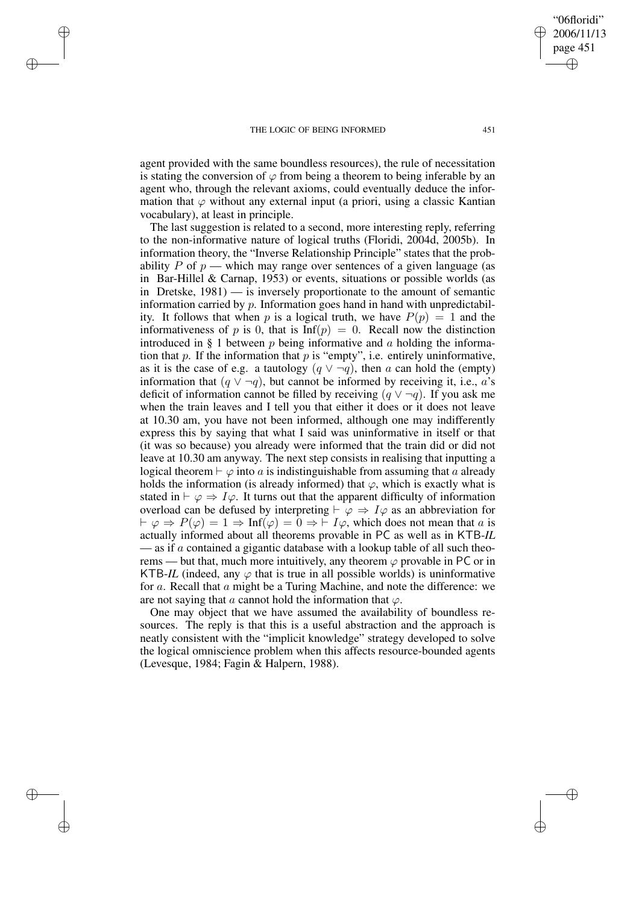✐

✐

✐

agent provided with the same boundless resources), the rule of necessitation is stating the conversion of  $\varphi$  from being a theorem to being inferable by an agent who, through the relevant axioms, could eventually deduce the information that  $\varphi$  without any external input (a priori, using a classic Kantian vocabulary), at least in principle.

The last suggestion is related to a second, more interesting reply, referring to the non-informative nature of logical truths (Floridi, 2004d, 2005b). In information theory, the "Inverse Relationship Principle" states that the probability P of  $p$  — which may range over sentences of a given language (as in Bar-Hillel & Carnap, 1953) or events, situations or possible worlds (as in Dretske, 1981) — is inversely proportionate to the amount of semantic information carried by  $p$ . Information goes hand in hand with unpredictability. It follows that when p is a logical truth, we have  $P(p) = 1$  and the informativeness of p is 0, that is  $Inf(p) = 0$ . Recall now the distinction introduced in § 1 between p being informative and a holding the information that  $p$ . If the information that  $p$  is "empty", i.e. entirely uninformative, as it is the case of e.g. a tautology  $(q \vee \neg q)$ , then a can hold the (empty) information that  $(q \vee \neg q)$ , but cannot be informed by receiving it, i.e., a's deficit of information cannot be filled by receiving  $(q \vee \neg q)$ . If you ask me when the train leaves and I tell you that either it does or it does not leave at 10.30 am, you have not been informed, although one may indifferently express this by saying that what I said was uninformative in itself or that (it was so because) you already were informed that the train did or did not leave at 10.30 am anyway. The next step consists in realising that inputting a logical theorem  $\vdash \varphi$  into a is indistinguishable from assuming that a already holds the information (is already informed) that  $\varphi$ , which is exactly what is stated in  $\vdash \varphi \Rightarrow I\varphi$ . It turns out that the apparent difficulty of information overload can be defused by interpreting  $\vdash \varphi \Rightarrow I\varphi$  as an abbreviation for  $\vdash \varphi \Rightarrow P(\varphi) = 1 \Rightarrow \text{Inf}(\varphi) = 0 \Rightarrow \vdash I\varphi$ , which does not mean that a is actually informed about all theorems provable in PC as well as in KTB-*IL* — as if a contained a gigantic database with a lookup table of all such theorems — but that, much more intuitively, any theorem  $\varphi$  provable in PC or in KTB-IL (indeed, any  $\varphi$  that is true in all possible worlds) is uninformative for a. Recall that a might be a Turing Machine, and note the difference: we are not saying that a cannot hold the information that  $\varphi$ .

One may object that we have assumed the availability of boundless resources. The reply is that this is a useful abstraction and the approach is neatly consistent with the "implicit knowledge" strategy developed to solve the logical omniscience problem when this affects resource-bounded agents (Levesque, 1984; Fagin & Halpern, 1988).

"06floridi" 2006/11/13 page 451

✐

✐

✐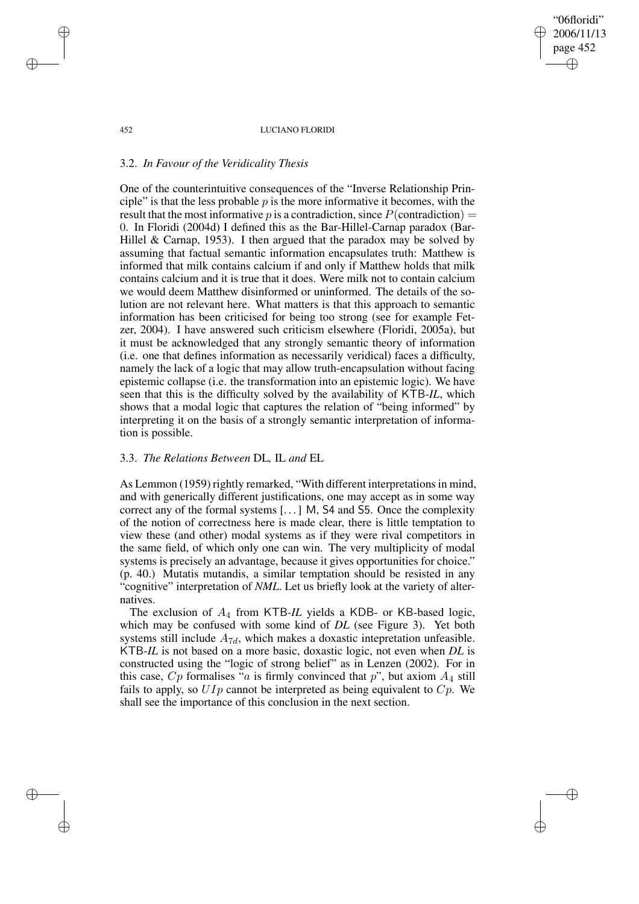#### 452 LUCIANO FLORIDI

"06floridi" 2006/11/13 page 452

✐

✐

✐

✐

# 3.2. *In Favour of the Veridicality Thesis*

One of the counterintuitive consequences of the "Inverse Relationship Principle" is that the less probable  $p$  is the more informative it becomes, with the result that the most informative p is a contradiction, since  $P$ (contradiction) = 0. In Floridi (2004d) I defined this as the Bar-Hillel-Carnap paradox (Bar-Hillel & Carnap, 1953). I then argued that the paradox may be solved by assuming that factual semantic information encapsulates truth: Matthew is informed that milk contains calcium if and only if Matthew holds that milk contains calcium and it is true that it does. Were milk not to contain calcium we would deem Matthew disinformed or uninformed. The details of the solution are not relevant here. What matters is that this approach to semantic information has been criticised for being too strong (see for example Fetzer, 2004). I have answered such criticism elsewhere (Floridi, 2005a), but it must be acknowledged that any strongly semantic theory of information (i.e. one that defines information as necessarily veridical) faces a difficulty, namely the lack of a logic that may allow truth-encapsulation without facing epistemic collapse (i.e. the transformation into an epistemic logic). We have seen that this is the difficulty solved by the availability of KTB-*IL*, which shows that a modal logic that captures the relation of "being informed" by interpreting it on the basis of a strongly semantic interpretation of information is possible.

### 3.3. *The Relations Between* DL*,* IL *and* EL

As Lemmon (1959) rightly remarked, "With different interpretations in mind, and with generically different justifications, one may accept as in some way correct any of the formal systems [. . .] M, S4 and S5. Once the complexity of the notion of correctness here is made clear, there is little temptation to view these (and other) modal systems as if they were rival competitors in the same field, of which only one can win. The very multiplicity of modal systems is precisely an advantage, because it gives opportunities for choice." (p. 40.) Mutatis mutandis, a similar temptation should be resisted in any "cognitive" interpretation of *NML*. Let us briefly look at the variety of alternatives.

The exclusion of A4 from KTB-*IL* yields a KDB- or KB-based logic, which may be confused with some kind of *DL* (see Figure 3). Yet both systems still include  $A_{7d}$ , which makes a doxastic intepretation unfeasible. KTB-*IL* is not based on a more basic, doxastic logic, not even when *DL* is constructed using the "logic of strong belief" as in Lenzen (2002). For in this case,  $C_p$  formalises "a is firmly convinced that p", but axiom  $A_4$  still fails to apply, so  $UIp$  cannot be interpreted as being equivalent to  $Cp$ . We shall see the importance of this conclusion in the next section.

✐

✐

✐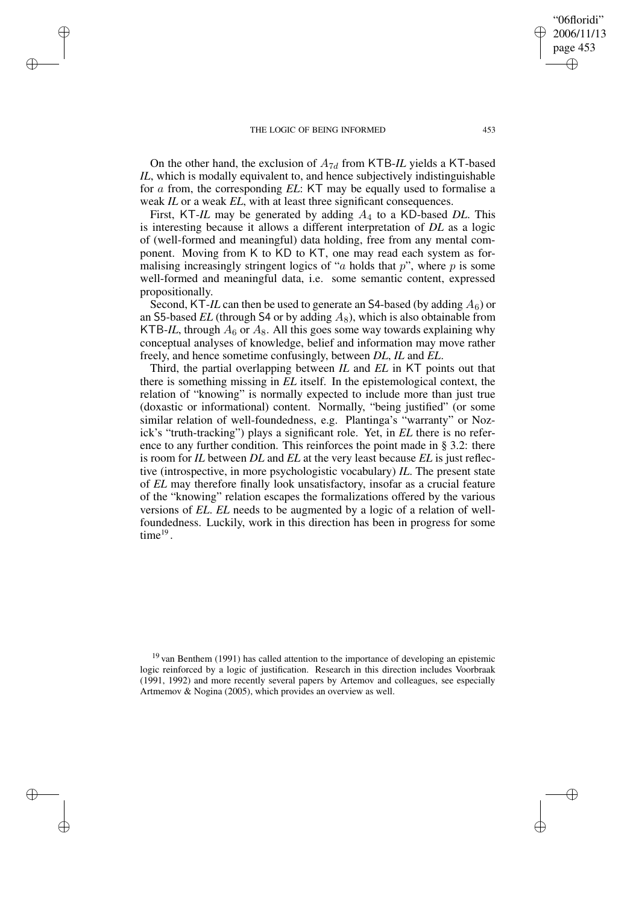✐

✐

✐

✐

On the other hand, the exclusion of  $A_{7d}$  from KTB-*IL* yields a KT-based *IL*, which is modally equivalent to, and hence subjectively indistinguishable for a from, the corresponding *EL*: KT may be equally used to formalise a weak *IL* or a weak *EL*, with at least three significant consequences.

First, KT-*IL* may be generated by adding A4 to a KD-based *DL*. This is interesting because it allows a different interpretation of *DL* as a logic of (well-formed and meaningful) data holding, free from any mental component. Moving from K to KD to KT, one may read each system as formalising increasingly stringent logics of "a holds that  $p$ ", where  $p$  is some well-formed and meaningful data, i.e. some semantic content, expressed propositionally.

Second, KT-*IL* can then be used to generate an S4-based (by adding  $A_6$ ) or an S5-based *EL* (through S4 or by adding  $A_8$ ), which is also obtainable from KTB-IL, through  $A_6$  or  $A_8$ . All this goes some way towards explaining why conceptual analyses of knowledge, belief and information may move rather freely, and hence sometime confusingly, between *DL*, *IL* and *EL*.

Third, the partial overlapping between *IL* and *EL* in KT points out that there is something missing in *EL* itself. In the epistemological context, the relation of "knowing" is normally expected to include more than just true (doxastic or informational) content. Normally, "being justified" (or some similar relation of well-foundedness, e.g. Plantinga's "warranty" or Nozick's "truth-tracking") plays a significant role. Yet, in *EL* there is no reference to any further condition. This reinforces the point made in § 3.2: there is room for *IL* between *DL* and *EL* at the very least because *EL* is just reflective (introspective, in more psychologistic vocabulary) *IL*. The present state of *EL* may therefore finally look unsatisfactory, insofar as a crucial feature of the "knowing" relation escapes the formalizations offered by the various versions of *EL*. *EL* needs to be augmented by a logic of a relation of wellfoundedness. Luckily, work in this direction has been in progress for some time $^{19}$ .

"06floridi" 2006/11/13 page 453

✐

✐

✐

 $19$  van Benthem (1991) has called attention to the importance of developing an epistemic logic reinforced by a logic of justification. Research in this direction includes Voorbraak (1991, 1992) and more recently several papers by Artemov and colleagues, see especially Artmemov & Nogina (2005), which provides an overview as well.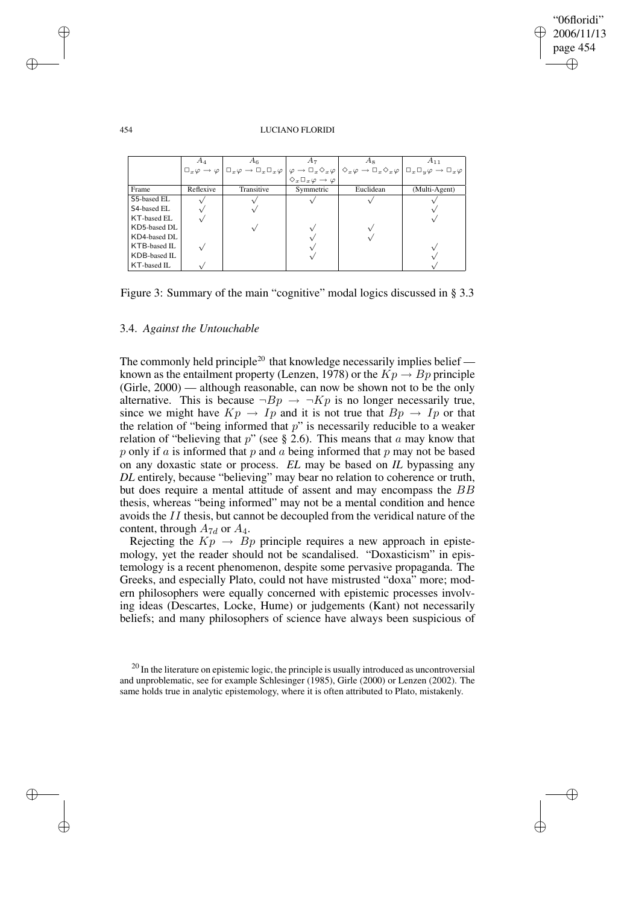✐

### 454 LUCIANO FLORIDI

|              | $A_4$     | $A_6$                                                                                                                                                                                                                     | $A_7$                                   | As        | $A_{11}$      |
|--------------|-----------|---------------------------------------------------------------------------------------------------------------------------------------------------------------------------------------------------------------------------|-----------------------------------------|-----------|---------------|
|              |           | $\Box_x \varphi \to \varphi \mid \Box_x \varphi \to \Box_x \Box_x \varphi \mid \varphi \to \Box_x \Diamond_x \varphi \mid \Diamond_x \varphi \to \Box_x \Diamond_x \varphi \mid \Box_x \Box_y \varphi \to \Box_x \varphi$ |                                         |           |               |
|              |           |                                                                                                                                                                                                                           | $\Diamond_x \Box_x \varphi \to \varphi$ |           |               |
| Frame        | Reflexive | Transitive                                                                                                                                                                                                                | Symmetric                               | Euclidean | (Multi-Agent) |
| S5-based EL  |           |                                                                                                                                                                                                                           |                                         |           |               |
| S4-based EL  |           |                                                                                                                                                                                                                           |                                         |           |               |
| KT-based EL  |           |                                                                                                                                                                                                                           |                                         |           |               |
| KD5-based DL |           |                                                                                                                                                                                                                           |                                         |           |               |
| KD4-based DL |           |                                                                                                                                                                                                                           |                                         |           |               |
| KTB-based IL |           |                                                                                                                                                                                                                           |                                         |           |               |
| KDB-based IL |           |                                                                                                                                                                                                                           |                                         |           |               |
| KT-based IL  |           |                                                                                                                                                                                                                           |                                         |           |               |

Figure 3: Summary of the main "cognitive" modal logics discussed in § 3.3

## 3.4. *Against the Untouchable*

The commonly held principle<sup>20</sup> that knowledge necessarily implies belief known as the entailment property (Lenzen, 1978) or the  $Kp \to Bp$  principle (Girle, 2000) — although reasonable, can now be shown not to be the only alternative. This is because  $\neg Bp \rightarrow \neg Kp$  is no longer necessarily true, since we might have  $Kp \to Ip$  and it is not true that  $Bp \to Ip$  or that the relation of "being informed that  $p$ " is necessarily reducible to a weaker relation of "believing that  $p$ " (see § 2.6). This means that  $a$  may know that  $p$  only if  $a$  is informed that  $p$  and  $a$  being informed that  $p$  may not be based on any doxastic state or process. *EL* may be based on *IL* bypassing any *DL* entirely, because "believing" may bear no relation to coherence or truth, but does require a mental attitude of assent and may encompass the BB thesis, whereas "being informed" may not be a mental condition and hence avoids the II thesis, but cannot be decoupled from the veridical nature of the content, through  $A_{7d}$  or  $A_4$ .

Rejecting the  $K_p \rightarrow B_p$  principle requires a new approach in epistemology, yet the reader should not be scandalised. "Doxasticism" in epistemology is a recent phenomenon, despite some pervasive propaganda. The Greeks, and especially Plato, could not have mistrusted "doxa" more; modern philosophers were equally concerned with epistemic processes involving ideas (Descartes, Locke, Hume) or judgements (Kant) not necessarily beliefs; and many philosophers of science have always been suspicious of

 $20$  In the literature on epistemic logic, the principle is usually introduced as uncontroversial and unproblematic, see for example Schlesinger (1985), Girle (2000) or Lenzen (2002). The same holds true in analytic epistemology, where it is often attributed to Plato, mistakenly.

✐

✐

✐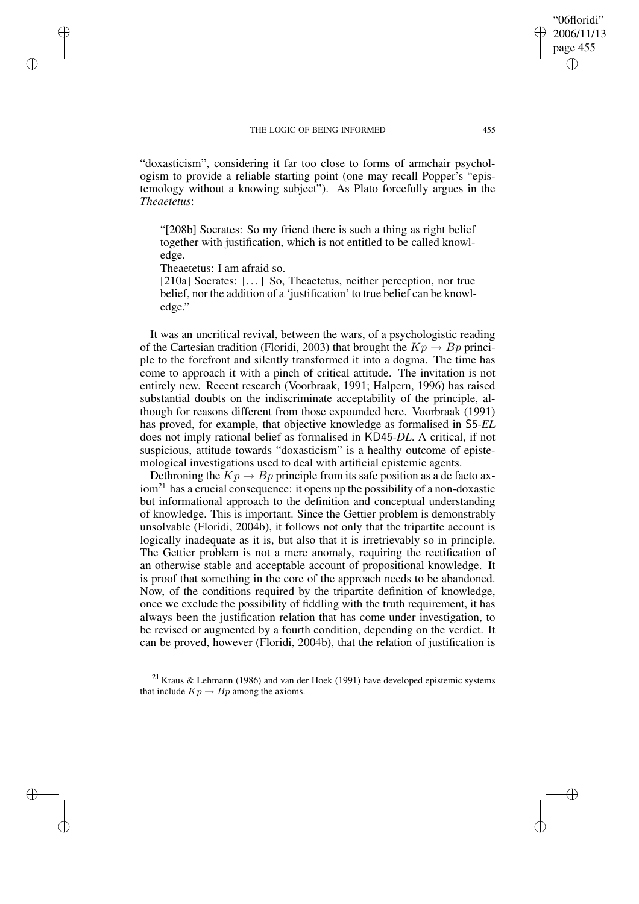"doxasticism", considering it far too close to forms of armchair psychologism to provide a reliable starting point (one may recall Popper's "epistemology without a knowing subject"). As Plato forcefully argues in the *Theaetetus*:

"[208b] Socrates: So my friend there is such a thing as right belief together with justification, which is not entitled to be called knowledge.

Theaetetus: I am afraid so.

✐

✐

✐

✐

[210a] Socrates: [...] So, Theaetetus, neither perception, nor true belief, nor the addition of a 'justification' to true belief can be knowledge."

It was an uncritical revival, between the wars, of a psychologistic reading of the Cartesian tradition (Floridi, 2003) that brought the  $Kp \to Bp$  principle to the forefront and silently transformed it into a dogma. The time has come to approach it with a pinch of critical attitude. The invitation is not entirely new. Recent research (Voorbraak, 1991; Halpern, 1996) has raised substantial doubts on the indiscriminate acceptability of the principle, although for reasons different from those expounded here. Voorbraak (1991) has proved, for example, that objective knowledge as formalised in S5-*EL* does not imply rational belief as formalised in KD45-*DL*. A critical, if not suspicious, attitude towards "doxasticism" is a healthy outcome of epistemological investigations used to deal with artificial epistemic agents.

Dethroning the  $Kp \to Bp$  principle from its safe position as a de facto axiom<sup>21</sup> has a crucial consequence: it opens up the possibility of a non-doxastic but informational approach to the definition and conceptual understanding of knowledge. This is important. Since the Gettier problem is demonstrably unsolvable (Floridi, 2004b), it follows not only that the tripartite account is logically inadequate as it is, but also that it is irretrievably so in principle. The Gettier problem is not a mere anomaly, requiring the rectification of an otherwise stable and acceptable account of propositional knowledge. It is proof that something in the core of the approach needs to be abandoned. Now, of the conditions required by the tripartite definition of knowledge, once we exclude the possibility of fiddling with the truth requirement, it has always been the justification relation that has come under investigation, to be revised or augmented by a fourth condition, depending on the verdict. It can be proved, however (Floridi, 2004b), that the relation of justification is

"06floridi" 2006/11/13 page 455

✐

✐

✐

<sup>21</sup> Kraus & Lehmann (1986) and van der Hoek (1991) have developed epistemic systems that include  $Kp \to Bp$  among the axioms.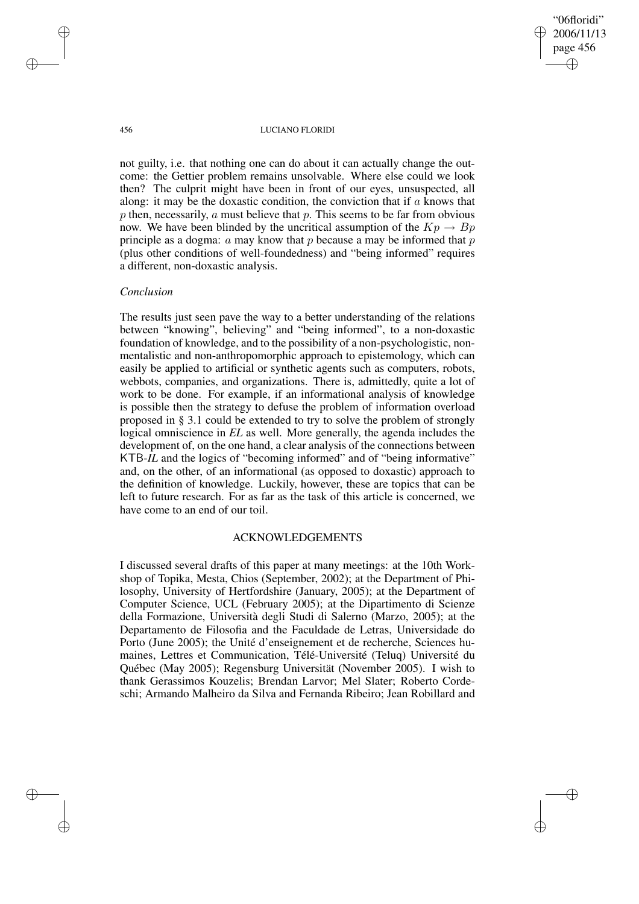✐

### 456 LUCIANO FLORIDI

not guilty, i.e. that nothing one can do about it can actually change the outcome: the Gettier problem remains unsolvable. Where else could we look then? The culprit might have been in front of our eyes, unsuspected, all along: it may be the doxastic condition, the conviction that if  $\alpha$  knows that  $p$  then, necessarily,  $a$  must believe that  $p$ . This seems to be far from obvious now. We have been blinded by the uncritical assumption of the  $Kp \to Bp$ principle as a dogma:  $\alpha$  may know that  $p$  because a may be informed that  $p$ (plus other conditions of well-foundedness) and "being informed" requires a different, non-doxastic analysis.

### *Conclusion*

The results just seen pave the way to a better understanding of the relations between "knowing", believing" and "being informed", to a non-doxastic foundation of knowledge, and to the possibility of a non-psychologistic, nonmentalistic and non-anthropomorphic approach to epistemology, which can easily be applied to artificial or synthetic agents such as computers, robots, webbots, companies, and organizations. There is, admittedly, quite a lot of work to be done. For example, if an informational analysis of knowledge is possible then the strategy to defuse the problem of information overload proposed in § 3.1 could be extended to try to solve the problem of strongly logical omniscience in *EL* as well. More generally, the agenda includes the development of, on the one hand, a clear analysis of the connections between KTB-*IL* and the logics of "becoming informed" and of "being informative" and, on the other, of an informational (as opposed to doxastic) approach to the definition of knowledge. Luckily, however, these are topics that can be left to future research. For as far as the task of this article is concerned, we have come to an end of our toil.

# ACKNOWLEDGEMENTS

I discussed several drafts of this paper at many meetings: at the 10th Workshop of Topika, Mesta, Chios (September, 2002); at the Department of Philosophy, University of Hertfordshire (January, 2005); at the Department of Computer Science, UCL (February 2005); at the Dipartimento di Scienze della Formazione, Università degli Studi di Salerno (Marzo, 2005); at the Departamento de Filosofia and the Faculdade de Letras, Universidade do Porto (June 2005); the Unité d'enseignement et de recherche, Sciences humaines, Lettres et Communication, Télé-Université (Teluq) Université du Québec (May 2005); Regensburg Universität (November 2005). I wish to thank Gerassimos Kouzelis; Brendan Larvor; Mel Slater; Roberto Cordeschi; Armando Malheiro da Silva and Fernanda Ribeiro; Jean Robillard and

✐

✐

✐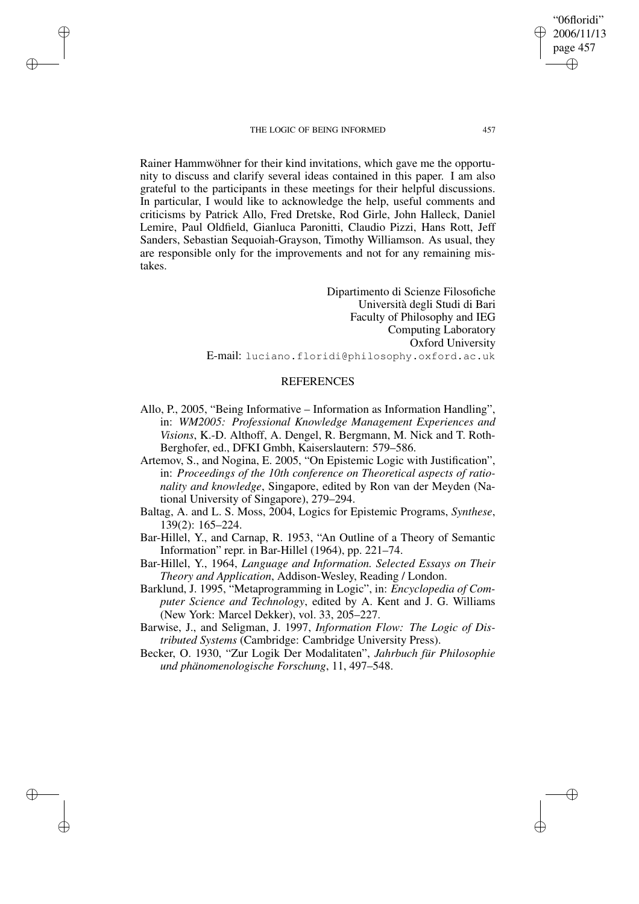✐

✐

✐

✐

Rainer Hammwöhner for their kind invitations, which gave me the opportunity to discuss and clarify several ideas contained in this paper. I am also grateful to the participants in these meetings for their helpful discussions. In particular, I would like to acknowledge the help, useful comments and criticisms by Patrick Allo, Fred Dretske, Rod Girle, John Halleck, Daniel Lemire, Paul Oldfield, Gianluca Paronitti, Claudio Pizzi, Hans Rott, Jeff Sanders, Sebastian Sequoiah-Grayson, Timothy Williamson. As usual, they are responsible only for the improvements and not for any remaining mistakes.

> Dipartimento di Scienze Filosofiche Università degli Studi di Bari Faculty of Philosophy and IEG Computing Laboratory Oxford University E-mail: luciano.floridi@philosophy.oxford.ac.uk

# **REFERENCES**

- Allo, P., 2005, "Being Informative Information as Information Handling", in: *WM2005: Professional Knowledge Management Experiences and Visions*, K.-D. Althoff, A. Dengel, R. Bergmann, M. Nick and T. Roth-Berghofer, ed., DFKI Gmbh, Kaiserslautern: 579–586.
- Artemov, S., and Nogina, E. 2005, "On Epistemic Logic with Justification", in: *Proceedings of the 10th conference on Theoretical aspects of rationality and knowledge*, Singapore, edited by Ron van der Meyden (National University of Singapore), 279–294.
- Baltag, A. and L. S. Moss, 2004, Logics for Epistemic Programs, *Synthese*, 139(2): 165–224.
- Bar-Hillel, Y., and Carnap, R. 1953, "An Outline of a Theory of Semantic Information" repr. in Bar-Hillel (1964), pp. 221–74.
- Bar-Hillel, Y., 1964, *Language and Information. Selected Essays on Their Theory and Application*, Addison-Wesley, Reading / London.
- Barklund, J. 1995, "Metaprogramming in Logic", in: *Encyclopedia of Computer Science and Technology*, edited by A. Kent and J. G. Williams (New York: Marcel Dekker), vol. 33, 205–227.
- Barwise, J., and Seligman, J. 1997, *Information Flow: The Logic of Distributed Systems* (Cambridge: Cambridge University Press).
- Becker, O. 1930, "Zur Logik Der Modalitaten", *Jahrbuch für Philosophie und phänomenologische Forschung*, 11, 497–548.

"06floridi" 2006/11/13 page 457

✐

✐

✐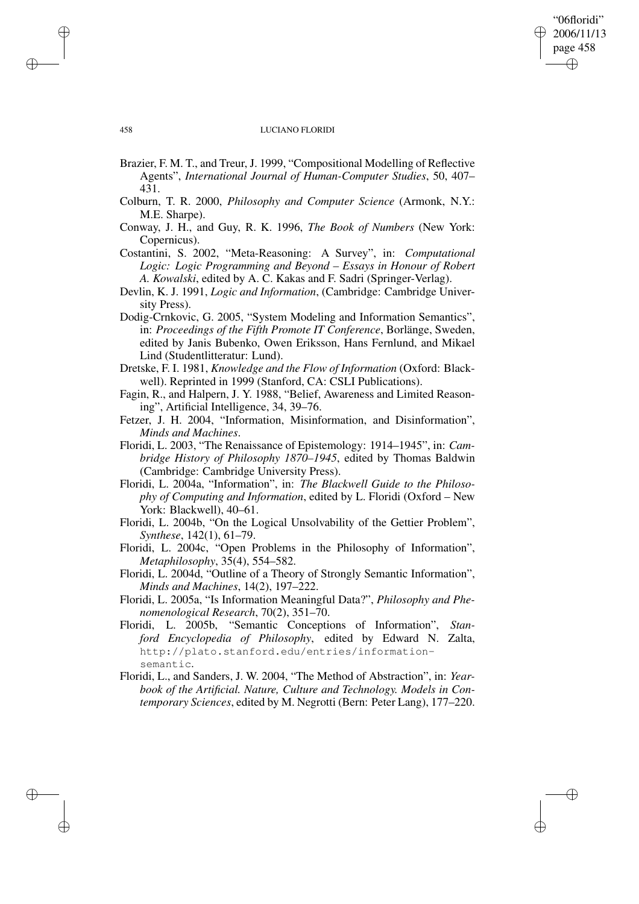### "06floridi" 2006/11/13 page 458 ✐ ✐

✐

✐

### 458 LUCIANO FLORIDI

- Brazier, F. M. T., and Treur, J. 1999, "Compositional Modelling of Reflective Agents", *International Journal of Human-Computer Studies*, 50, 407– 431.
- Colburn, T. R. 2000, *Philosophy and Computer Science* (Armonk, N.Y.: M.E. Sharpe).
- Conway, J. H., and Guy, R. K. 1996, *The Book of Numbers* (New York: Copernicus).
- Costantini, S. 2002, "Meta-Reasoning: A Survey", in: *Computational Logic: Logic Programming and Beyond – Essays in Honour of Robert A. Kowalski*, edited by A. C. Kakas and F. Sadri (Springer-Verlag).
- Devlin, K. J. 1991, *Logic and Information*, (Cambridge: Cambridge University Press).
- Dodig-Crnkovic, G. 2005, "System Modeling and Information Semantics", in: *Proceedings of the Fifth Promote IT Conference*, Borlänge, Sweden, edited by Janis Bubenko, Owen Eriksson, Hans Fernlund, and Mikael Lind (Studentlitteratur: Lund).
- Dretske, F. I. 1981, *Knowledge and the Flow of Information* (Oxford: Blackwell). Reprinted in 1999 (Stanford, CA: CSLI Publications).
- Fagin, R., and Halpern, J. Y. 1988, "Belief, Awareness and Limited Reasoning", Artificial Intelligence, 34, 39–76.
- Fetzer, J. H. 2004, "Information, Misinformation, and Disinformation", *Minds and Machines*.
- Floridi, L. 2003, "The Renaissance of Epistemology: 1914–1945", in: *Cambridge History of Philosophy 1870–1945*, edited by Thomas Baldwin (Cambridge: Cambridge University Press).
- Floridi, L. 2004a, "Information", in: *The Blackwell Guide to the Philosophy of Computing and Information*, edited by L. Floridi (Oxford – New York: Blackwell), 40–61.
- Floridi, L. 2004b, "On the Logical Unsolvability of the Gettier Problem", *Synthese*, 142(1), 61–79.
- Floridi, L. 2004c, "Open Problems in the Philosophy of Information", *Metaphilosophy*, 35(4), 554–582.
- Floridi, L. 2004d, "Outline of a Theory of Strongly Semantic Information", *Minds and Machines*, 14(2), 197–222.
- Floridi, L. 2005a, "Is Information Meaningful Data?", *Philosophy and Phenomenological Research*, 70(2), 351–70.
- Floridi, L. 2005b, "Semantic Conceptions of Information", *Stanford Encyclopedia of Philosophy*, edited by Edward N. Zalta, http://plato.stanford.edu/entries/informationsemantic.
- Floridi, L., and Sanders, J. W. 2004, "The Method of Abstraction", in: *Yearbook of the Artificial. Nature, Culture and Technology. Models in Contemporary Sciences*, edited by M. Negrotti (Bern: Peter Lang), 177–220.

✐

✐

✐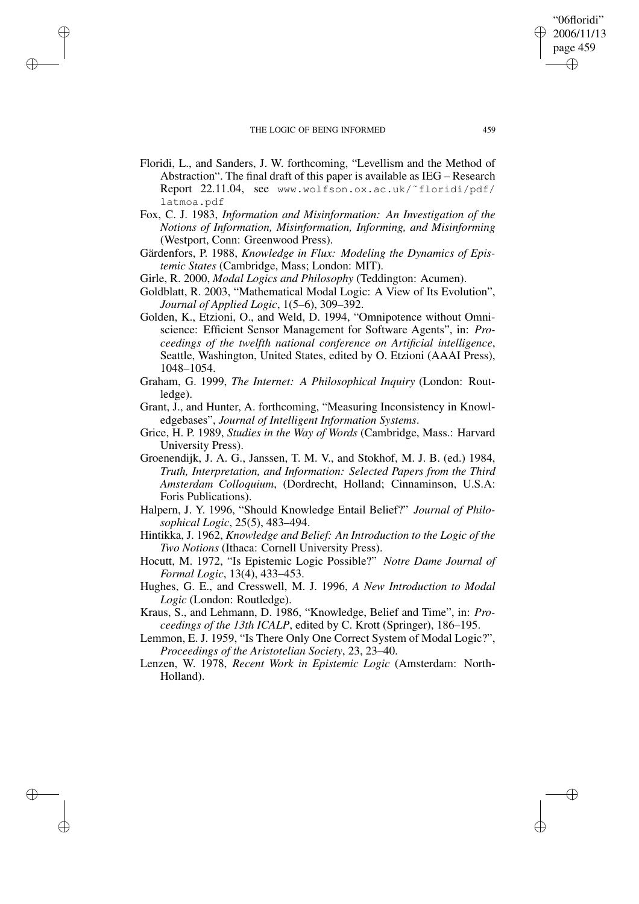✐

✐

✐

✐

- Floridi, L., and Sanders, J. W. forthcoming, "Levellism and the Method of Abstraction". The final draft of this paper is available as IEG – Research Report 22.11.04, see www.wolfson.ox.ac.uk/˜floridi/pdf/ latmoa.pdf
- Fox, C. J. 1983, *Information and Misinformation: An Investigation of the Notions of Information, Misinformation, Informing, and Misinforming* (Westport, Conn: Greenwood Press).
- Gärdenfors, P. 1988, *Knowledge in Flux: Modeling the Dynamics of Epistemic States* (Cambridge, Mass; London: MIT).
- Girle, R. 2000, *Modal Logics and Philosophy* (Teddington: Acumen).
- Goldblatt, R. 2003, "Mathematical Modal Logic: A View of Its Evolution", *Journal of Applied Logic*, 1(5–6), 309–392.
- Golden, K., Etzioni, O., and Weld, D. 1994, "Omnipotence without Omniscience: Efficient Sensor Management for Software Agents", in: *Proceedings of the twelfth national conference on Artificial intelligence*, Seattle, Washington, United States, edited by O. Etzioni (AAAI Press), 1048–1054.
- Graham, G. 1999, *The Internet: A Philosophical Inquiry* (London: Routledge).
- Grant, J., and Hunter, A. forthcoming, "Measuring Inconsistency in Knowledgebases", *Journal of Intelligent Information Systems*.
- Grice, H. P. 1989, *Studies in the Way of Words* (Cambridge, Mass.: Harvard University Press).
- Groenendijk, J. A. G., Janssen, T. M. V., and Stokhof, M. J. B. (ed.) 1984, *Truth, Interpretation, and Information: Selected Papers from the Third Amsterdam Colloquium*, (Dordrecht, Holland; Cinnaminson, U.S.A: Foris Publications).
- Halpern, J. Y. 1996, "Should Knowledge Entail Belief?" *Journal of Philosophical Logic*, 25(5), 483–494.
- Hintikka, J. 1962, *Knowledge and Belief: An Introduction to the Logic of the Two Notions* (Ithaca: Cornell University Press).
- Hocutt, M. 1972, "Is Epistemic Logic Possible?" *Notre Dame Journal of Formal Logic*, 13(4), 433–453.
- Hughes, G. E., and Cresswell, M. J. 1996, *A New Introduction to Modal Logic* (London: Routledge).
- Kraus, S., and Lehmann, D. 1986, "Knowledge, Belief and Time", in: *Proceedings of the 13th ICALP*, edited by C. Krott (Springer), 186–195.
- Lemmon, E. J. 1959, "Is There Only One Correct System of Modal Logic?", *Proceedings of the Aristotelian Society*, 23, 23–40.
- Lenzen, W. 1978, *Recent Work in Epistemic Logic* (Amsterdam: North-Holland).

"06floridi" 2006/11/13 page 459

✐

✐

✐